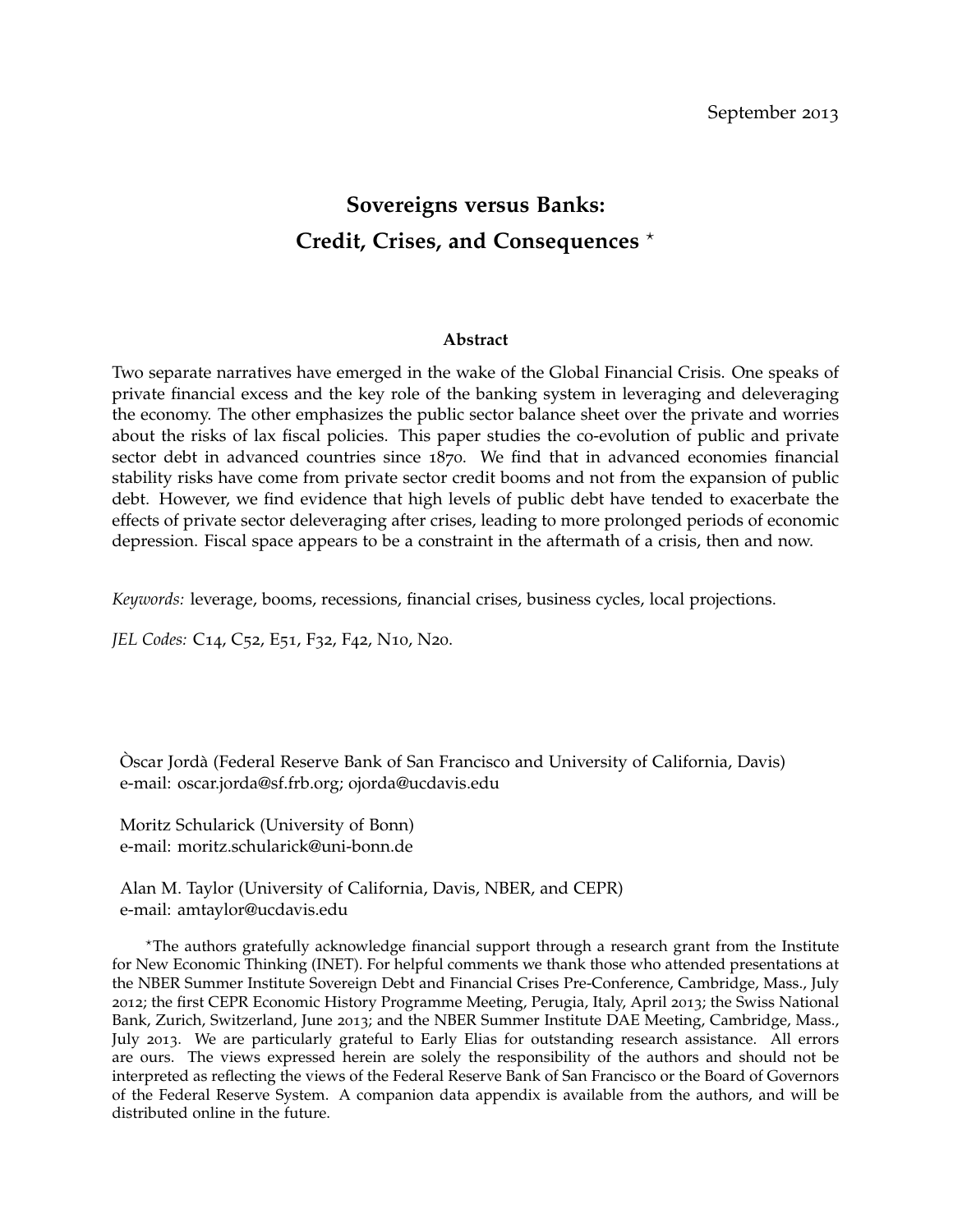## **Sovereigns versus Banks: Credit, Crises, and Consequences** ?

#### **Abstract**

Two separate narratives have emerged in the wake of the Global Financial Crisis. One speaks of private financial excess and the key role of the banking system in leveraging and deleveraging the economy. The other emphasizes the public sector balance sheet over the private and worries about the risks of lax fiscal policies. This paper studies the co-evolution of public and private sector debt in advanced countries since 1870. We find that in advanced economies financial stability risks have come from private sector credit booms and not from the expansion of public debt. However, we find evidence that high levels of public debt have tended to exacerbate the effects of private sector deleveraging after crises, leading to more prolonged periods of economic depression. Fiscal space appears to be a constraint in the aftermath of a crisis, then and now.

*Keywords:* leverage, booms, recessions, financial crises, business cycles, local projections.

*JEL Codes:* C14, C52, E51, F32, F42, N10, N20.

Òscar Jordà (Federal Reserve Bank of San Francisco and University of California, Davis) e-mail: oscar.jorda@sf.frb.org; ojorda@ucdavis.edu

Moritz Schularick (University of Bonn) e-mail: moritz.schularick@uni-bonn.de

Alan M. Taylor (University of California, Davis, NBER, and CEPR) e-mail: amtaylor@ucdavis.edu

?The authors gratefully acknowledge financial support through a research grant from the Institute for New Economic Thinking (INET). For helpful comments we thank those who attended presentations at the NBER Summer Institute Sovereign Debt and Financial Crises Pre-Conference, Cambridge, Mass., July 2012; the first CEPR Economic History Programme Meeting, Perugia, Italy, April 2013; the Swiss National Bank, Zurich, Switzerland, June 2013; and the NBER Summer Institute DAE Meeting, Cambridge, Mass., July 2013. We are particularly grateful to Early Elias for outstanding research assistance. All errors are ours. The views expressed herein are solely the responsibility of the authors and should not be interpreted as reflecting the views of the Federal Reserve Bank of San Francisco or the Board of Governors of the Federal Reserve System. A companion data appendix is available from the authors, and will be distributed online in the future.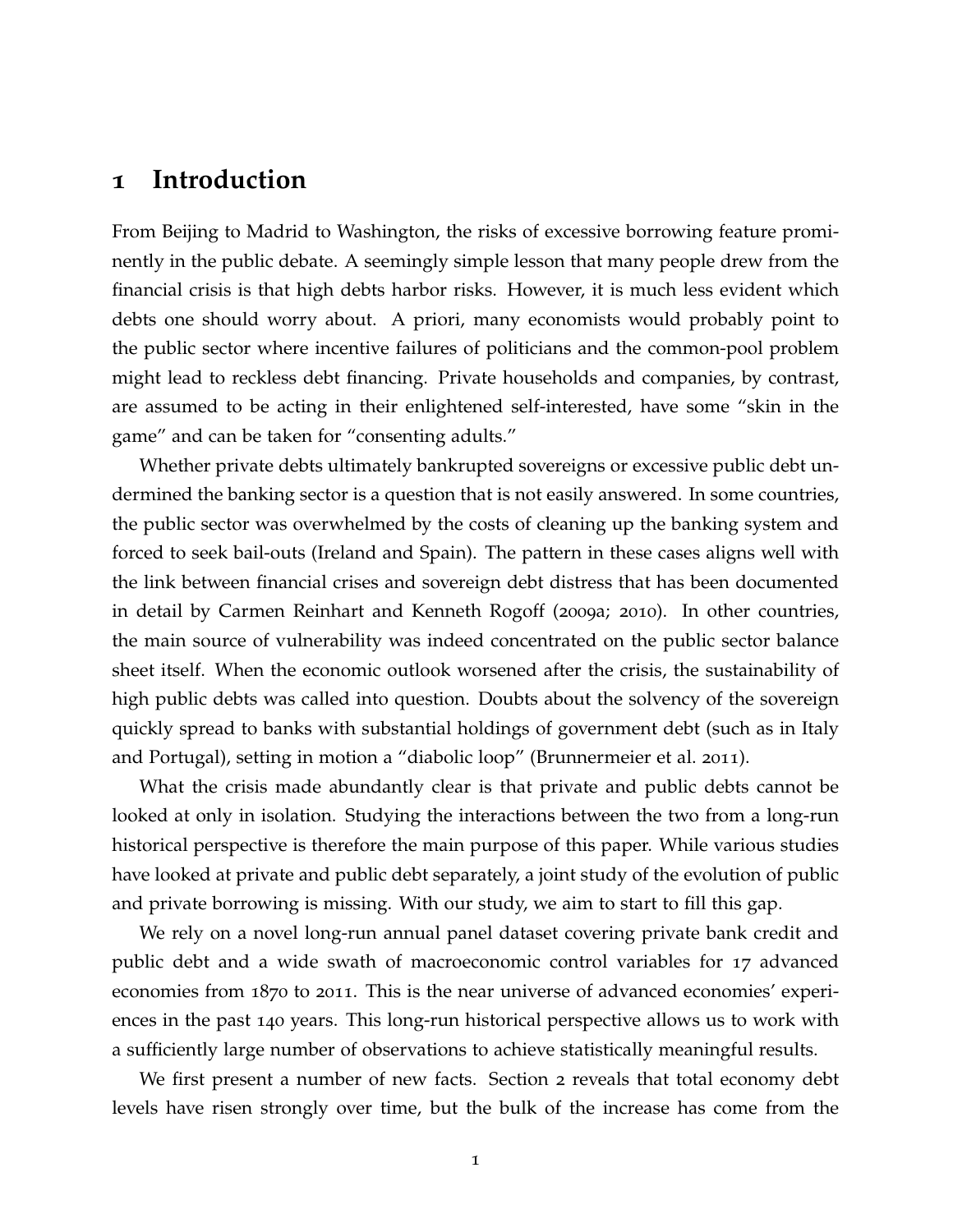## **1 Introduction**

From Beijing to Madrid to Washington, the risks of excessive borrowing feature prominently in the public debate. A seemingly simple lesson that many people drew from the financial crisis is that high debts harbor risks. However, it is much less evident which debts one should worry about. A priori, many economists would probably point to the public sector where incentive failures of politicians and the common-pool problem might lead to reckless debt financing. Private households and companies, by contrast, are assumed to be acting in their enlightened self-interested, have some "skin in the game" and can be taken for "consenting adults."

Whether private debts ultimately bankrupted sovereigns or excessive public debt undermined the banking sector is a question that is not easily answered. In some countries, the public sector was overwhelmed by the costs of cleaning up the banking system and forced to seek bail-outs (Ireland and Spain). The pattern in these cases aligns well with the link between financial crises and sovereign debt distress that has been documented in detail by Carmen Reinhart and Kenneth Rogoff (2009a; 2010). In other countries, the main source of vulnerability was indeed concentrated on the public sector balance sheet itself. When the economic outlook worsened after the crisis, the sustainability of high public debts was called into question. Doubts about the solvency of the sovereign quickly spread to banks with substantial holdings of government debt (such as in Italy and Portugal), setting in motion a "diabolic loop" (Brunnermeier et al. 2011).

What the crisis made abundantly clear is that private and public debts cannot be looked at only in isolation. Studying the interactions between the two from a long-run historical perspective is therefore the main purpose of this paper. While various studies have looked at private and public debt separately, a joint study of the evolution of public and private borrowing is missing. With our study, we aim to start to fill this gap.

We rely on a novel long-run annual panel dataset covering private bank credit and public debt and a wide swath of macroeconomic control variables for 17 advanced economies from 1870 to 2011. This is the near universe of advanced economies' experiences in the past 140 years. This long-run historical perspective allows us to work with a sufficiently large number of observations to achieve statistically meaningful results.

We first present a number of new facts. Section 2 reveals that total economy debt levels have risen strongly over time, but the bulk of the increase has come from the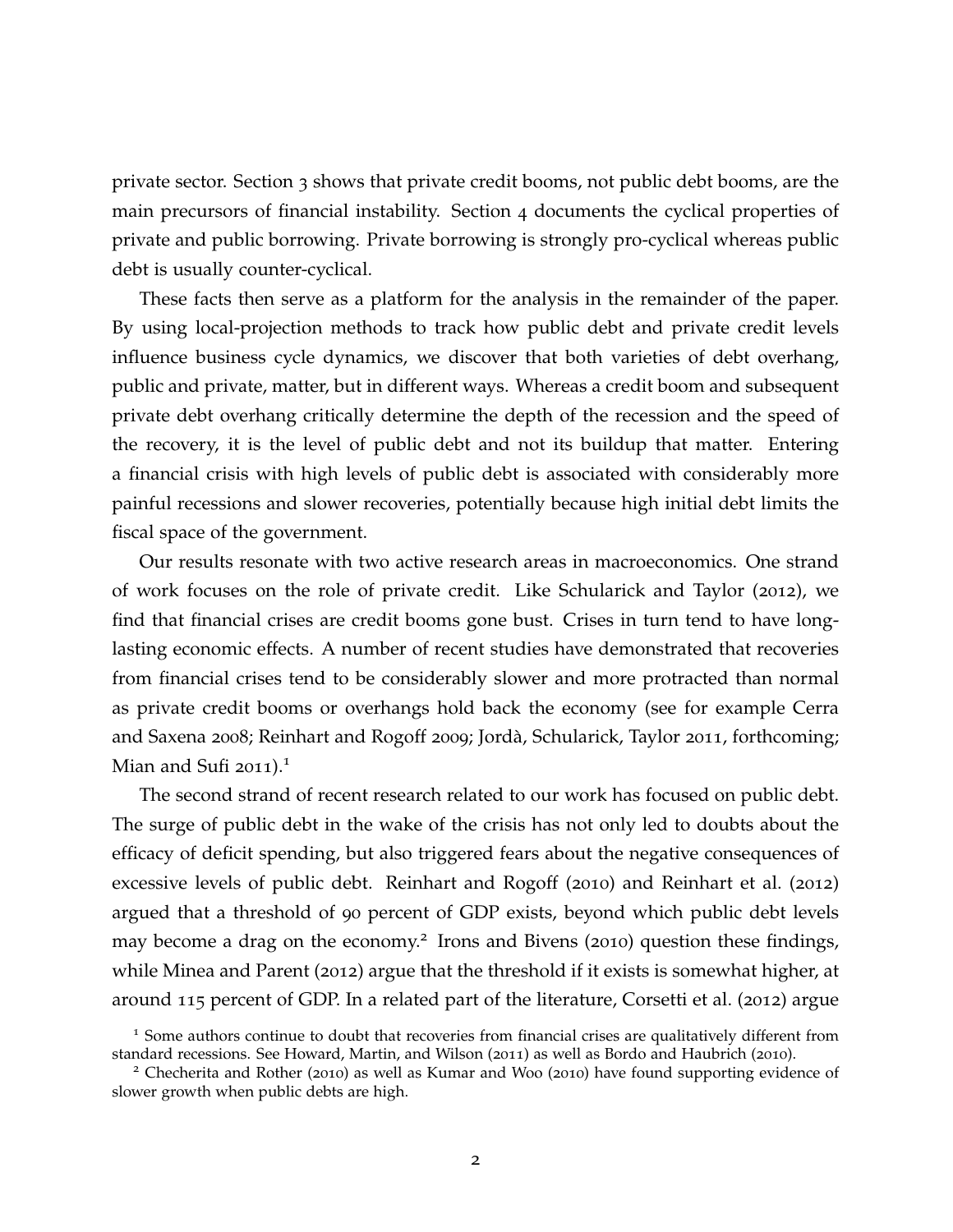private sector. Section 3 shows that private credit booms, not public debt booms, are the main precursors of financial instability. Section 4 documents the cyclical properties of private and public borrowing. Private borrowing is strongly pro-cyclical whereas public debt is usually counter-cyclical.

These facts then serve as a platform for the analysis in the remainder of the paper. By using local-projection methods to track how public debt and private credit levels influence business cycle dynamics, we discover that both varieties of debt overhang, public and private, matter, but in different ways. Whereas a credit boom and subsequent private debt overhang critically determine the depth of the recession and the speed of the recovery, it is the level of public debt and not its buildup that matter. Entering a financial crisis with high levels of public debt is associated with considerably more painful recessions and slower recoveries, potentially because high initial debt limits the fiscal space of the government.

Our results resonate with two active research areas in macroeconomics. One strand of work focuses on the role of private credit. Like Schularick and Taylor (2012), we find that financial crises are credit booms gone bust. Crises in turn tend to have longlasting economic effects. A number of recent studies have demonstrated that recoveries from financial crises tend to be considerably slower and more protracted than normal as private credit booms or overhangs hold back the economy (see for example Cerra and Saxena 2008; Reinhart and Rogoff 2009; Jordà, Schularick, Taylor 2011, forthcoming; Mian and Sufi  $2011$ .<sup>1</sup>

The second strand of recent research related to our work has focused on public debt. The surge of public debt in the wake of the crisis has not only led to doubts about the efficacy of deficit spending, but also triggered fears about the negative consequences of excessive levels of public debt. Reinhart and Rogoff (2010) and Reinhart et al. (2012) argued that a threshold of 90 percent of GDP exists, beyond which public debt levels may become a drag on the economy.<sup>2</sup> Irons and Bivens (2010) question these findings, while Minea and Parent (2012) argue that the threshold if it exists is somewhat higher, at around 115 percent of GDP. In a related part of the literature, Corsetti et al. (2012) argue

<sup>&</sup>lt;sup>1</sup> Some authors continue to doubt that recoveries from financial crises are qualitatively different from standard recessions. See Howard, Martin, and Wilson (2011) as well as Bordo and Haubrich (2010).

<sup>2</sup> Checherita and Rother (2010) as well as Kumar and Woo (2010) have found supporting evidence of slower growth when public debts are high.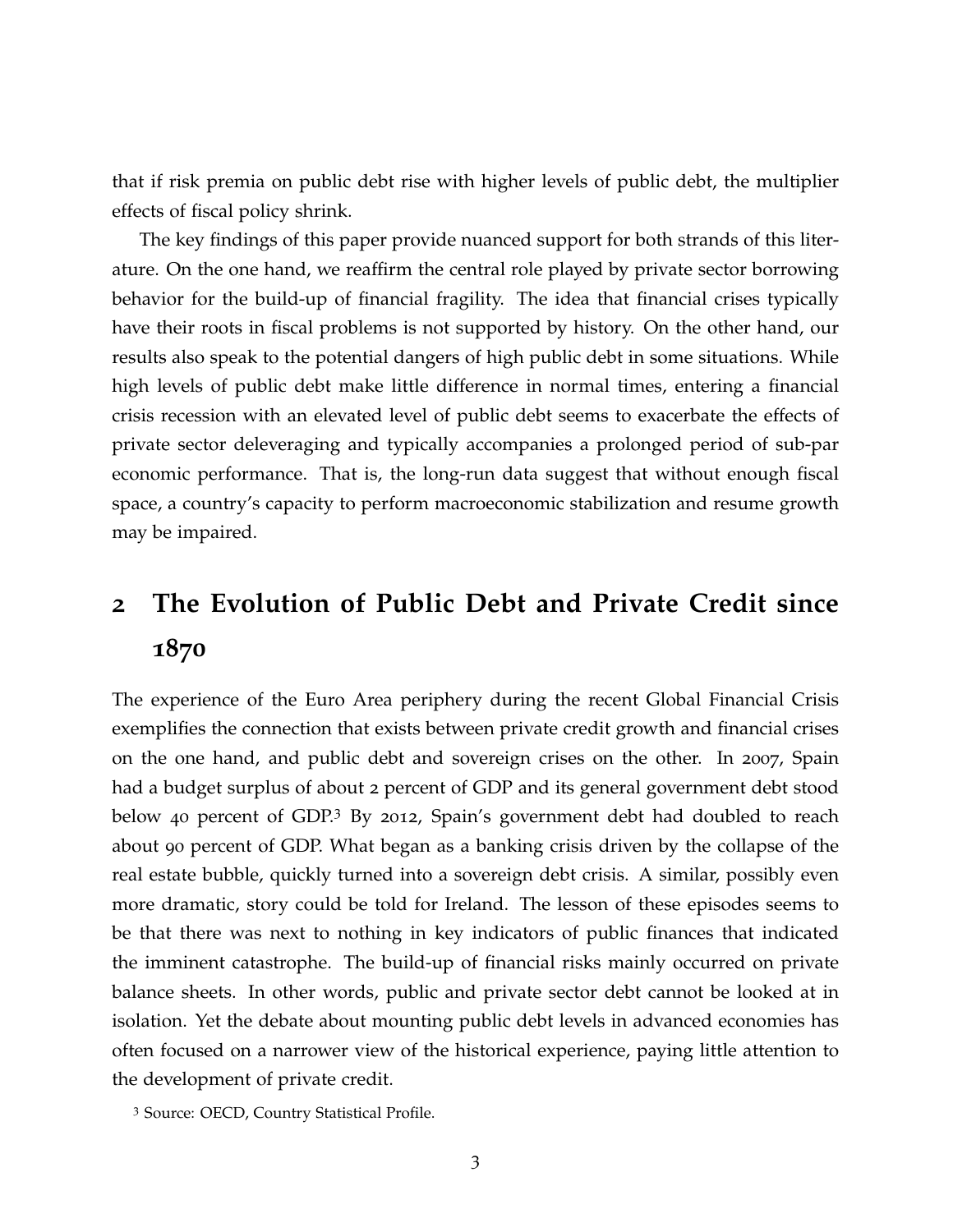that if risk premia on public debt rise with higher levels of public debt, the multiplier effects of fiscal policy shrink.

The key findings of this paper provide nuanced support for both strands of this literature. On the one hand, we reaffirm the central role played by private sector borrowing behavior for the build-up of financial fragility. The idea that financial crises typically have their roots in fiscal problems is not supported by history. On the other hand, our results also speak to the potential dangers of high public debt in some situations. While high levels of public debt make little difference in normal times, entering a financial crisis recession with an elevated level of public debt seems to exacerbate the effects of private sector deleveraging and typically accompanies a prolonged period of sub-par economic performance. That is, the long-run data suggest that without enough fiscal space, a country's capacity to perform macroeconomic stabilization and resume growth may be impaired.

# **2 The Evolution of Public Debt and Private Credit since 1870**

The experience of the Euro Area periphery during the recent Global Financial Crisis exemplifies the connection that exists between private credit growth and financial crises on the one hand, and public debt and sovereign crises on the other. In 2007, Spain had a budget surplus of about 2 percent of GDP and its general government debt stood below 40 percent of GDP.<sup>3</sup> By 2012, Spain's government debt had doubled to reach about 90 percent of GDP. What began as a banking crisis driven by the collapse of the real estate bubble, quickly turned into a sovereign debt crisis. A similar, possibly even more dramatic, story could be told for Ireland. The lesson of these episodes seems to be that there was next to nothing in key indicators of public finances that indicated the imminent catastrophe. The build-up of financial risks mainly occurred on private balance sheets. In other words, public and private sector debt cannot be looked at in isolation. Yet the debate about mounting public debt levels in advanced economies has often focused on a narrower view of the historical experience, paying little attention to the development of private credit.

<sup>3</sup> Source: OECD, Country Statistical Profile.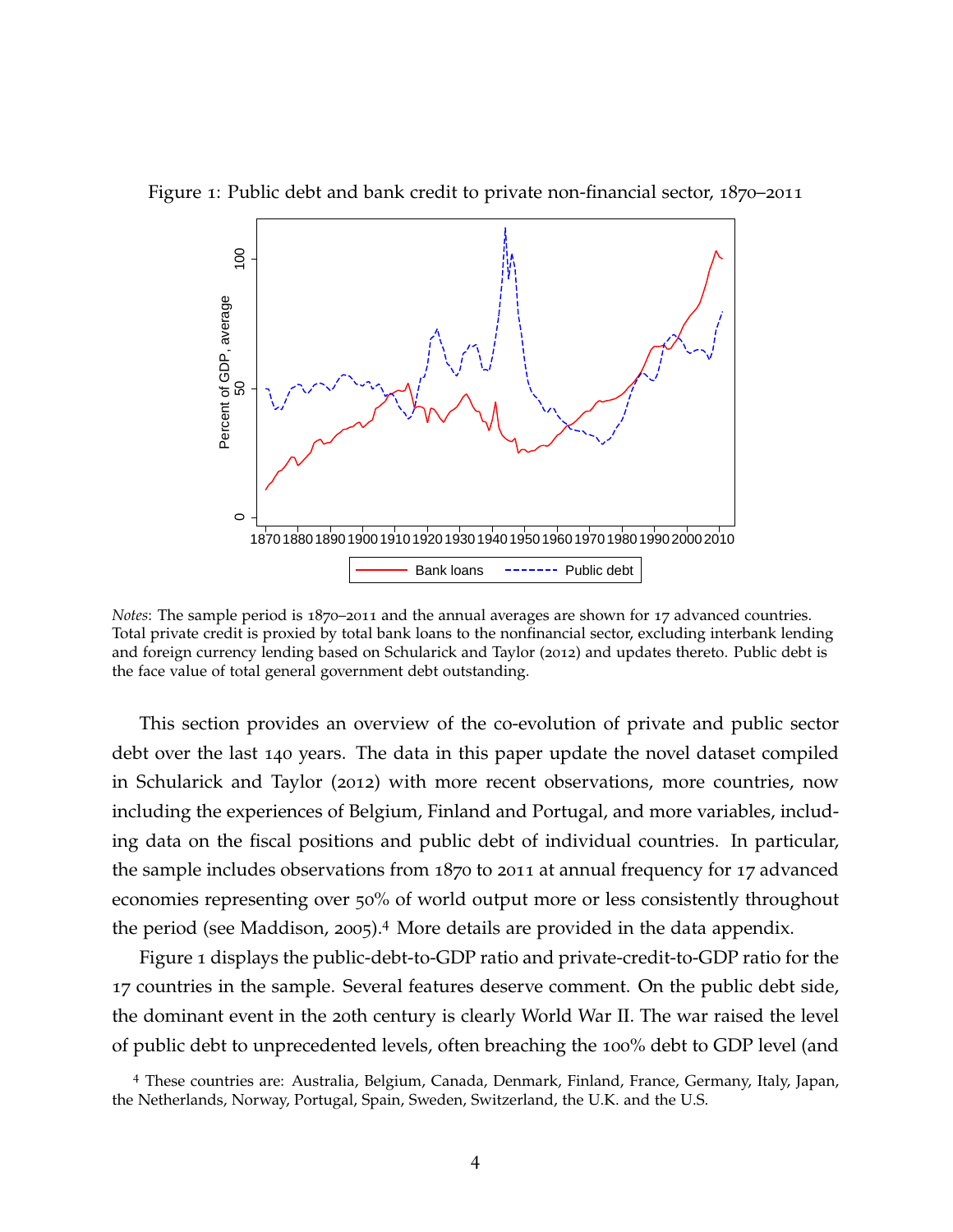



*Notes*: The sample period is 1870–2011 and the annual averages are shown for 17 advanced countries. Total private credit is proxied by total bank loans to the nonfinancial sector, excluding interbank lending and foreign currency lending based on Schularick and Taylor (2012) and updates thereto. Public debt is the face value of total general government debt outstanding.

This section provides an overview of the co-evolution of private and public sector debt over the last 140 years. The data in this paper update the novel dataset compiled in Schularick and Taylor (2012) with more recent observations, more countries, now including the experiences of Belgium, Finland and Portugal, and more variables, including data on the fiscal positions and public debt of individual countries. In particular, the sample includes observations from 1870 to 2011 at annual frequency for 17 advanced economies representing over 50% of world output more or less consistently throughout the period (see Maddison, 2005).<sup>4</sup> More details are provided in the data appendix.

Figure 1 displays the public-debt-to-GDP ratio and private-credit-to-GDP ratio for the 17 countries in the sample. Several features deserve comment. On the public debt side, the dominant event in the 20th century is clearly World War II. The war raised the level of public debt to unprecedented levels, often breaching the 100% debt to GDP level (and

<sup>4</sup> These countries are: Australia, Belgium, Canada, Denmark, Finland, France, Germany, Italy, Japan, the Netherlands, Norway, Portugal, Spain, Sweden, Switzerland, the U.K. and the U.S.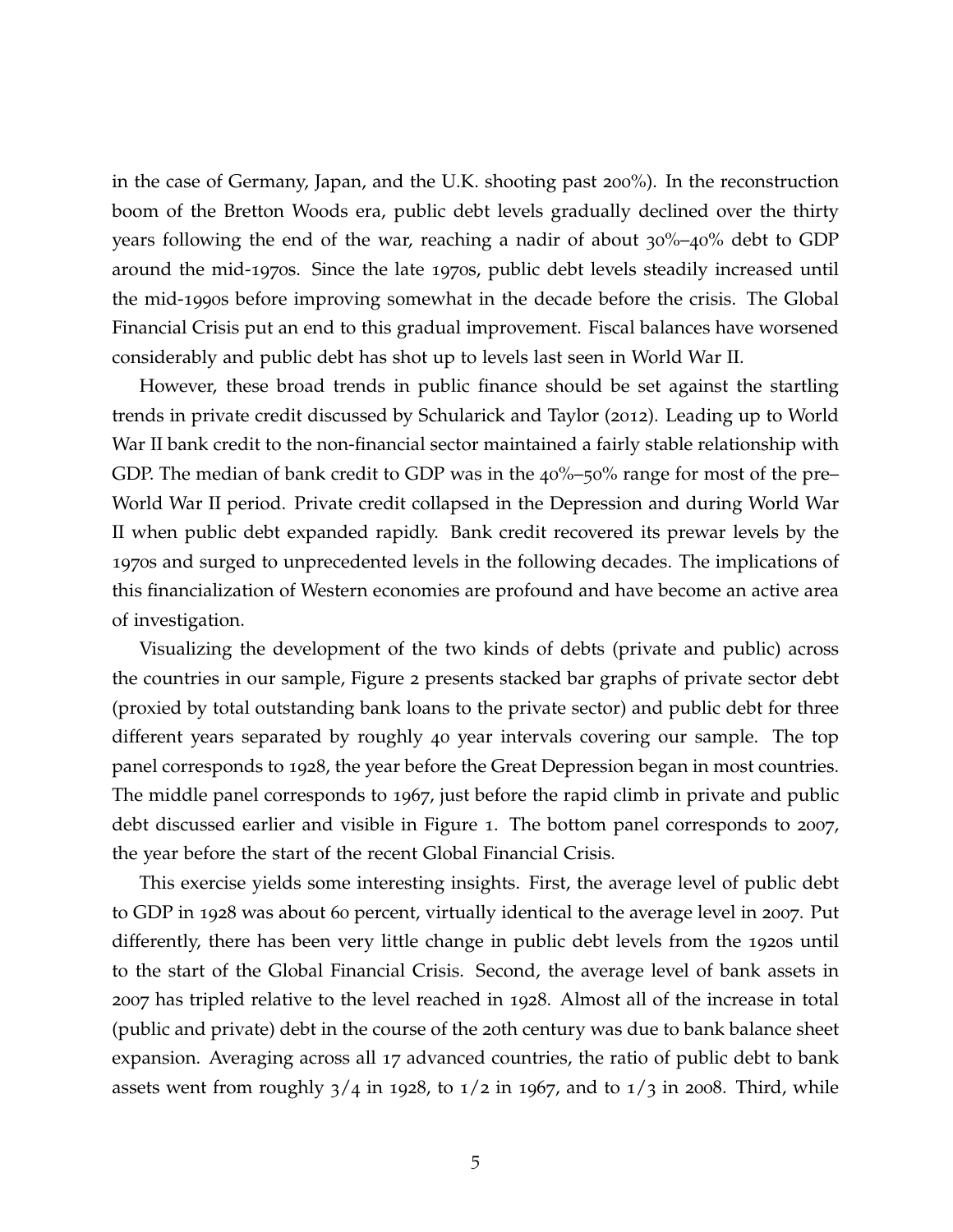in the case of Germany, Japan, and the U.K. shooting past 200%). In the reconstruction boom of the Bretton Woods era, public debt levels gradually declined over the thirty years following the end of the war, reaching a nadir of about 30%–40% debt to GDP around the mid-1970s. Since the late 1970s, public debt levels steadily increased until the mid-1990s before improving somewhat in the decade before the crisis. The Global Financial Crisis put an end to this gradual improvement. Fiscal balances have worsened considerably and public debt has shot up to levels last seen in World War II.

However, these broad trends in public finance should be set against the startling trends in private credit discussed by Schularick and Taylor (2012). Leading up to World War II bank credit to the non-financial sector maintained a fairly stable relationship with GDP. The median of bank credit to GDP was in the 40%–50% range for most of the pre– World War II period. Private credit collapsed in the Depression and during World War II when public debt expanded rapidly. Bank credit recovered its prewar levels by the 1970s and surged to unprecedented levels in the following decades. The implications of this financialization of Western economies are profound and have become an active area of investigation.

Visualizing the development of the two kinds of debts (private and public) across the countries in our sample, Figure 2 presents stacked bar graphs of private sector debt (proxied by total outstanding bank loans to the private sector) and public debt for three different years separated by roughly 40 year intervals covering our sample. The top panel corresponds to 1928, the year before the Great Depression began in most countries. The middle panel corresponds to 1967, just before the rapid climb in private and public debt discussed earlier and visible in Figure 1. The bottom panel corresponds to 2007, the year before the start of the recent Global Financial Crisis.

This exercise yields some interesting insights. First, the average level of public debt to GDP in 1928 was about 60 percent, virtually identical to the average level in 2007. Put differently, there has been very little change in public debt levels from the 1920s until to the start of the Global Financial Crisis. Second, the average level of bank assets in 2007 has tripled relative to the level reached in 1928. Almost all of the increase in total (public and private) debt in the course of the 20th century was due to bank balance sheet expansion. Averaging across all 17 advanced countries, the ratio of public debt to bank assets went from roughly  $3/4$  in 1928, to  $1/2$  in 1967, and to  $1/3$  in 2008. Third, while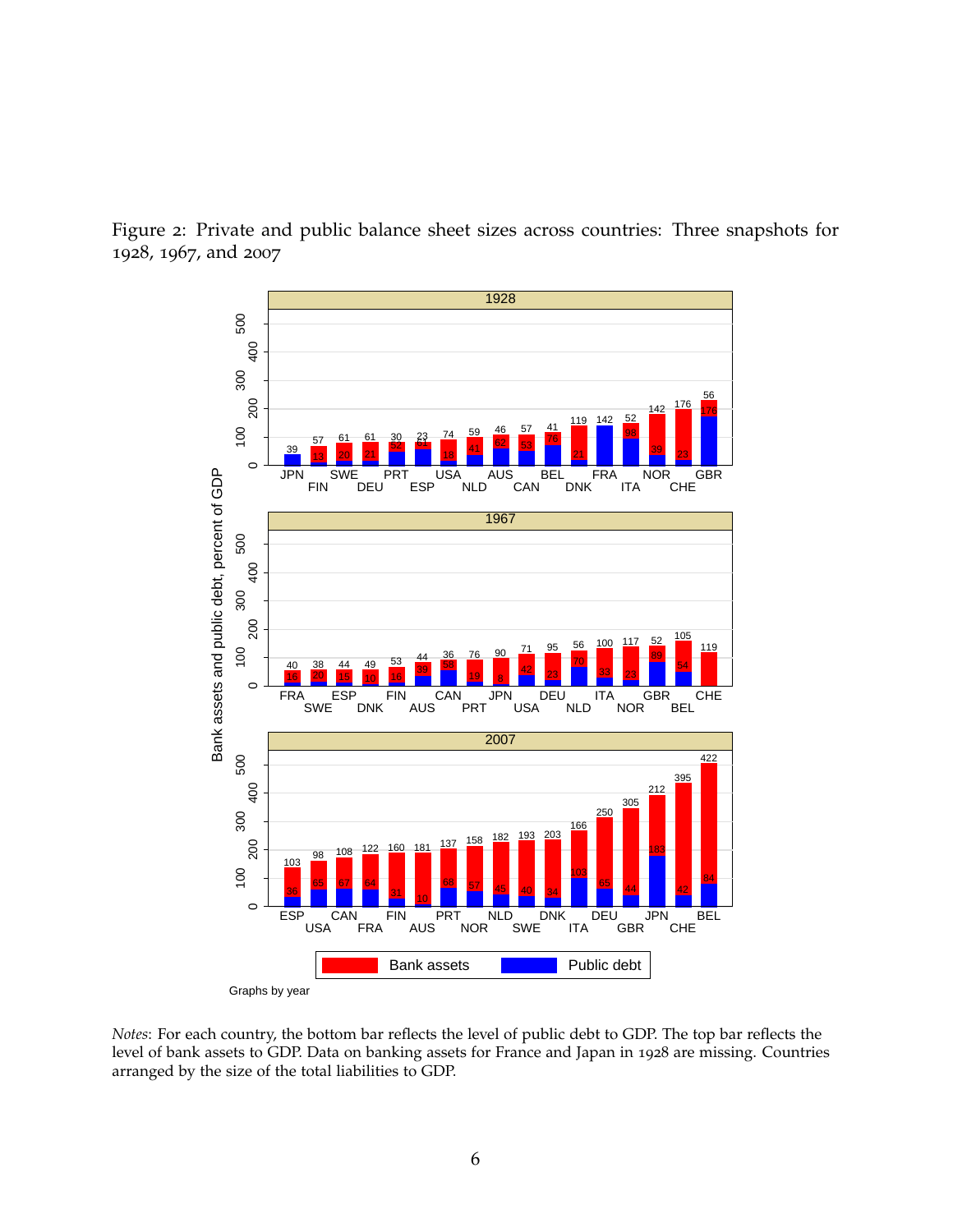Figure 2: Private and public balance sheet sizes across countries: Three snapshots for , 1967, and 2007



*Notes*: For each country, the bottom bar reflects the level of public debt to GDP. The top bar reflects the level of bank assets to GDP. Data on banking assets for France and Japan in 1928 are missing. Countries arranged by the size of the total liabilities to GDP.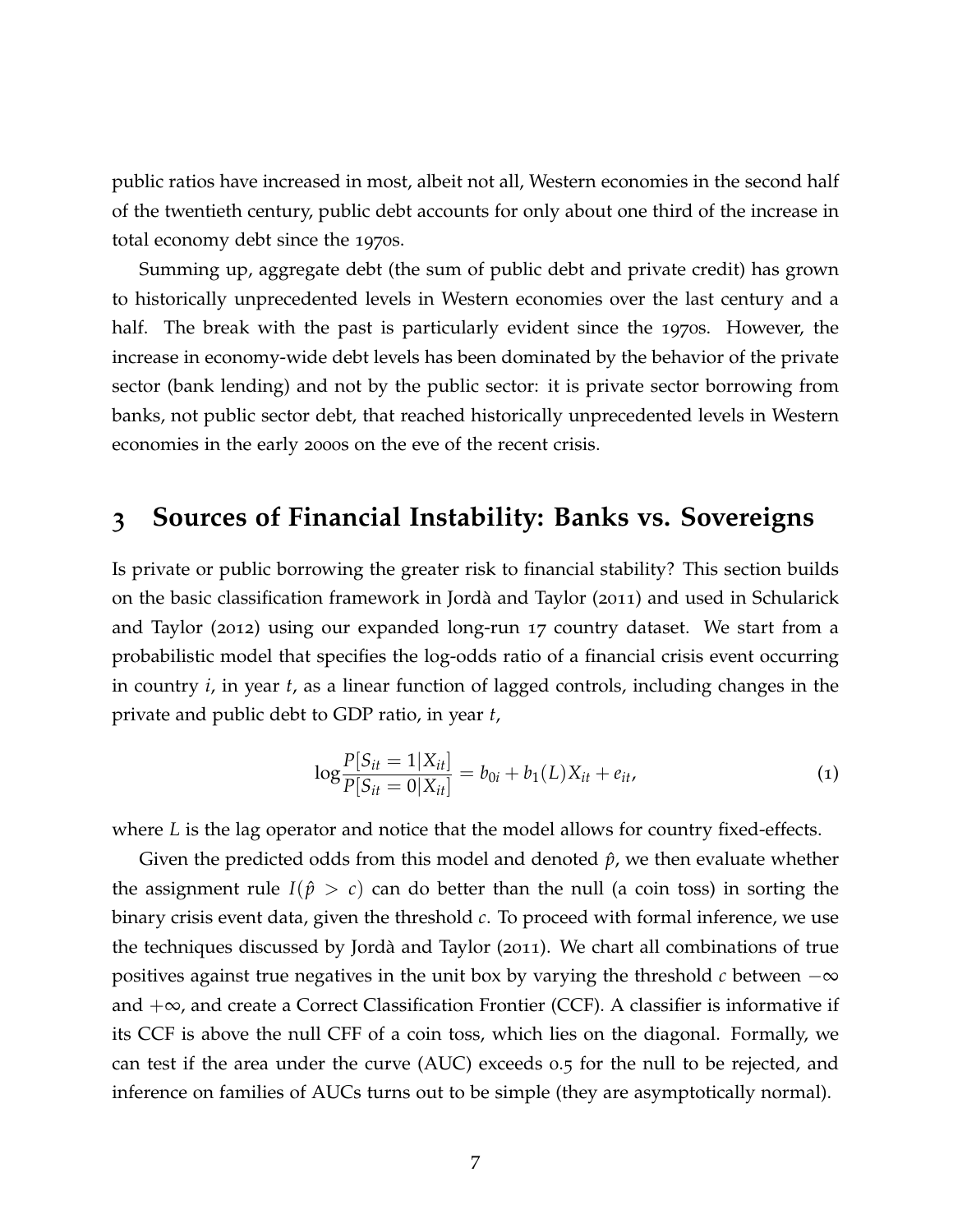public ratios have increased in most, albeit not all, Western economies in the second half of the twentieth century, public debt accounts for only about one third of the increase in total economy debt since the 1970s.

Summing up, aggregate debt (the sum of public debt and private credit) has grown to historically unprecedented levels in Western economies over the last century and a half. The break with the past is particularly evident since the 1970s. However, the increase in economy-wide debt levels has been dominated by the behavior of the private sector (bank lending) and not by the public sector: it is private sector borrowing from banks, not public sector debt, that reached historically unprecedented levels in Western economies in the early 2000s on the eve of the recent crisis.

## **3 Sources of Financial Instability: Banks vs. Sovereigns**

Is private or public borrowing the greater risk to financial stability? This section builds on the basic classification framework in Jordà and Taylor (2011) and used in Schularick and Taylor (2012) using our expanded long-run 17 country dataset. We start from a probabilistic model that specifies the log-odds ratio of a financial crisis event occurring in country *i*, in year *t*, as a linear function of lagged controls, including changes in the private and public debt to GDP ratio, in year *t*,

$$
\log \frac{P[S_{it} = 1 | X_{it}]}{P[S_{it} = 0 | X_{it}]} = b_{0i} + b_1(L)X_{it} + e_{it}, \qquad (1)
$$

where *L* is the lag operator and notice that the model allows for country fixed-effects.

Given the predicted odds from this model and denoted  $\hat{p}$ , we then evaluate whether the assignment rule  $I(\hat{p} > c)$  can do better than the null (a coin toss) in sorting the binary crisis event data, given the threshold *c*. To proceed with formal inference, we use the techniques discussed by Jordà and Taylor (2011). We chart all combinations of true positives against true negatives in the unit box by varying the threshold *c* between −∞ and  $+\infty$ , and create a Correct Classification Frontier (CCF). A classifier is informative if its CCF is above the null CFF of a coin toss, which lies on the diagonal. Formally, we can test if the area under the curve (AUC) exceeds 0.5 for the null to be rejected, and inference on families of AUCs turns out to be simple (they are asymptotically normal).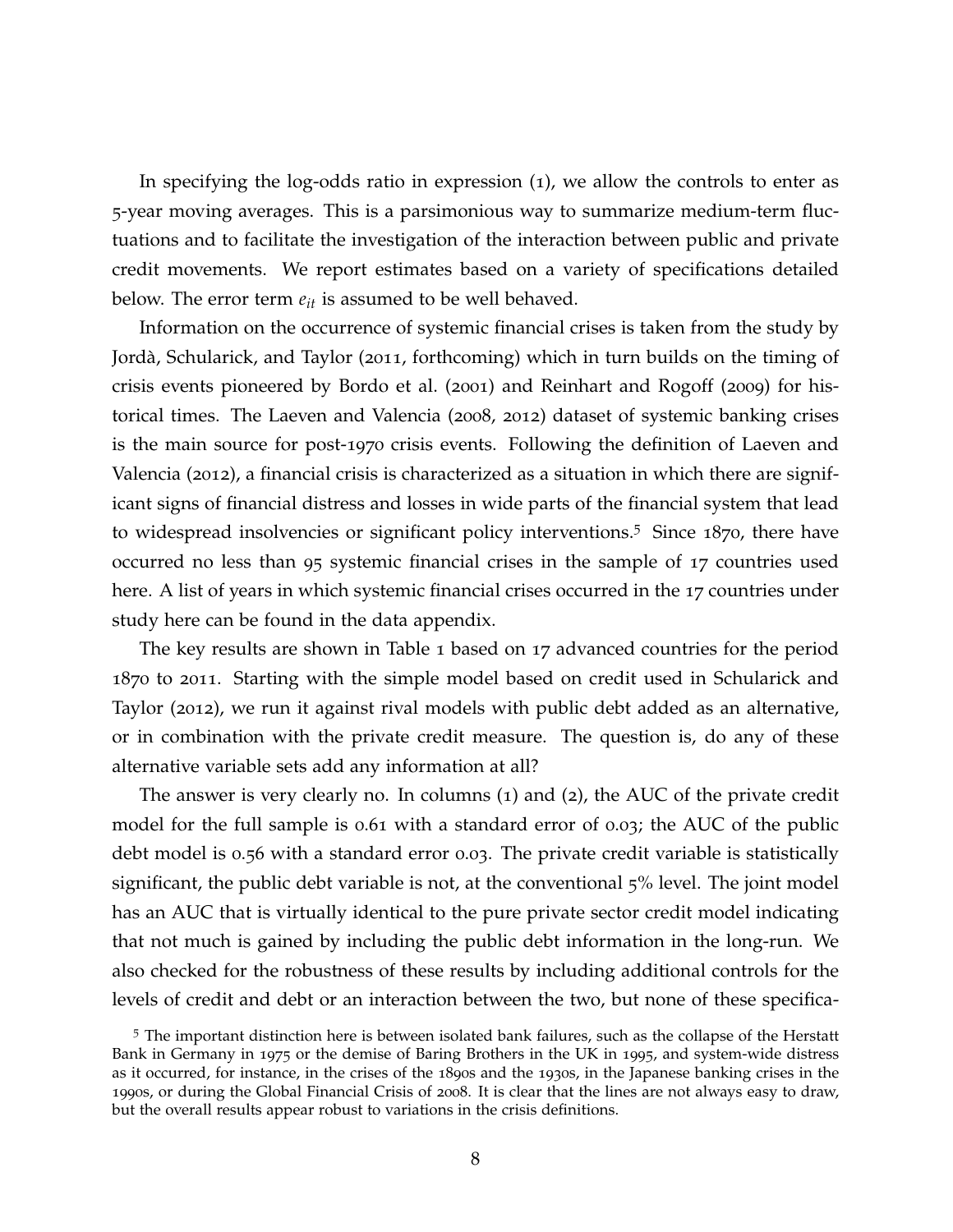In specifying the log-odds ratio in expression (1), we allow the controls to enter as 5-year moving averages. This is a parsimonious way to summarize medium-term fluctuations and to facilitate the investigation of the interaction between public and private credit movements. We report estimates based on a variety of specifications detailed below. The error term  $e_{it}$  is assumed to be well behaved.

Information on the occurrence of systemic financial crises is taken from the study by Jordà, Schularick, and Taylor (2011, forthcoming) which in turn builds on the timing of crisis events pioneered by Bordo et al. (2001) and Reinhart and Rogoff (2009) for historical times. The Laeven and Valencia (2008, 2012) dataset of systemic banking crises is the main source for post-1970 crisis events. Following the definition of Laeven and Valencia (2012), a financial crisis is characterized as a situation in which there are significant signs of financial distress and losses in wide parts of the financial system that lead to widespread insolvencies or significant policy interventions.<sup>5</sup> Since 1870, there have occurred no less than 95 systemic financial crises in the sample of 17 countries used here. A list of years in which systemic financial crises occurred in the 17 countries under study here can be found in the data appendix.

The key results are shown in Table 1 based on 17 advanced countries for the period 1870 to 2011. Starting with the simple model based on credit used in Schularick and Taylor (2012), we run it against rival models with public debt added as an alternative, or in combination with the private credit measure. The question is, do any of these alternative variable sets add any information at all?

The answer is very clearly no. In columns (1) and (2), the AUC of the private credit model for the full sample is 0.61 with a standard error of 0.03; the AUC of the public debt model is 0.56 with a standard error 0.03. The private credit variable is statistically significant, the public debt variable is not, at the conventional 5% level. The joint model has an AUC that is virtually identical to the pure private sector credit model indicating that not much is gained by including the public debt information in the long-run. We also checked for the robustness of these results by including additional controls for the levels of credit and debt or an interaction between the two, but none of these specifica-

<sup>5</sup> The important distinction here is between isolated bank failures, such as the collapse of the Herstatt Bank in Germany in 1975 or the demise of Baring Brothers in the UK in 1995, and system-wide distress as it occurred, for instance, in the crises of the 1890s and the 1930s, in the Japanese banking crises in the 1990s, or during the Global Financial Crisis of 2008. It is clear that the lines are not always easy to draw, but the overall results appear robust to variations in the crisis definitions.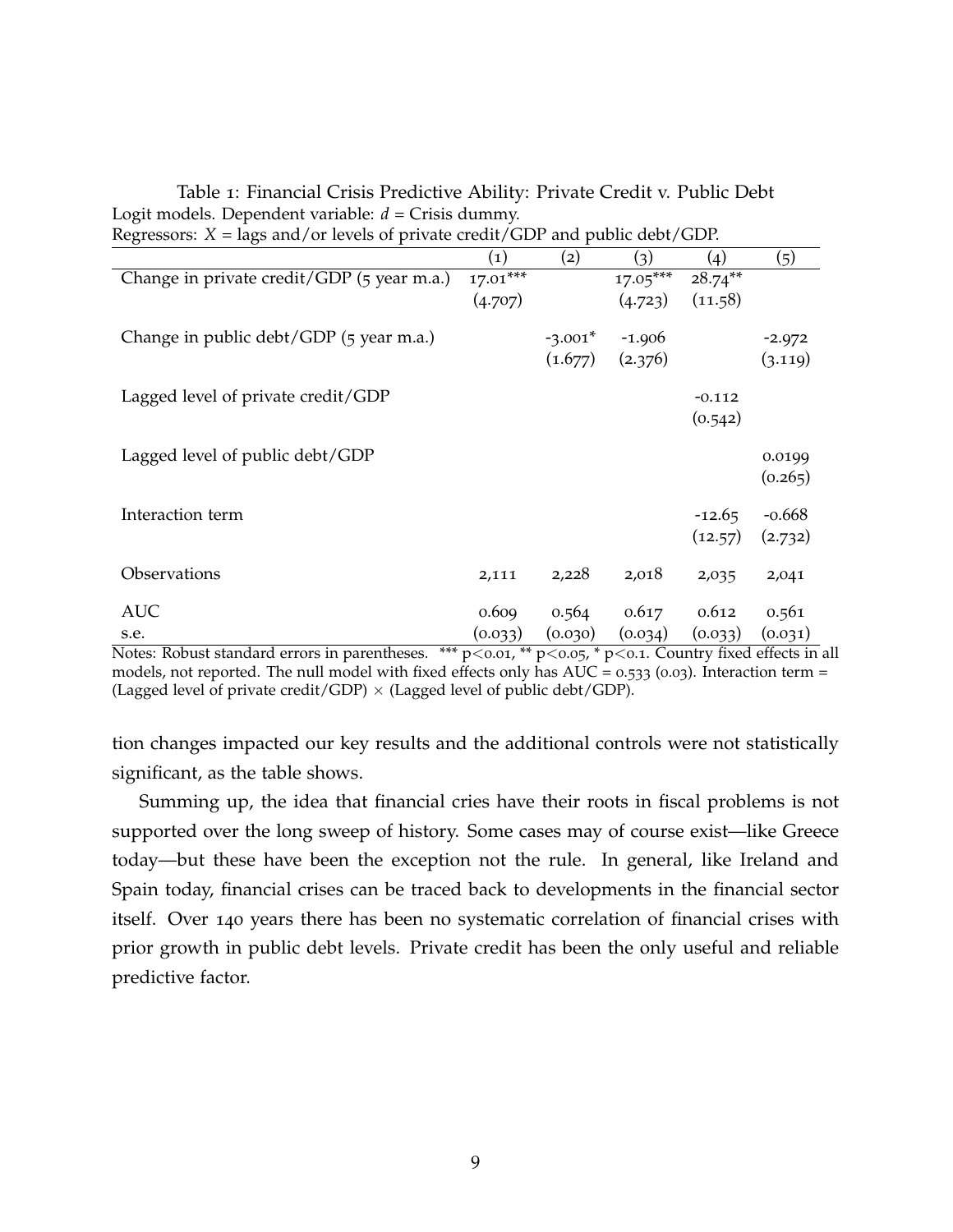| Table 1: Financial Crisis Predictive Ability: Private Credit v. Public Debt            |
|----------------------------------------------------------------------------------------|
| Logit models. Dependent variable: $d =$ Crisis dummy.                                  |
| Regressors: $X = \text{lags}$ and/or levels of private credit/GDP and public debt/GDP. |

| $\alpha$ is a set of $\alpha$ is any of inversion private create (set) and pablic debt) ODT.                               |                   |           |                     |            |          |  |  |  |
|----------------------------------------------------------------------------------------------------------------------------|-------------------|-----------|---------------------|------------|----------|--|--|--|
|                                                                                                                            | $\left( 1\right)$ | (2)       | (3)                 | (4)        | (5)      |  |  |  |
| Change in private credit/GDP (5 year m.a.)                                                                                 | $17.01***$        |           | $17.05***$          | $28.74***$ |          |  |  |  |
|                                                                                                                            | (4.707)           |           | (4.723)             | (11.58)    |          |  |  |  |
|                                                                                                                            |                   |           |                     |            |          |  |  |  |
| Change in public debt/GDP (5 year m.a.)                                                                                    |                   | $-3.001*$ | $-1.906$            |            | $-2.972$ |  |  |  |
|                                                                                                                            |                   |           | $(1.677)$ $(2.376)$ |            | (3.119)  |  |  |  |
|                                                                                                                            |                   |           |                     |            |          |  |  |  |
| Lagged level of private credit/GDP                                                                                         |                   |           |                     | $-0.112$   |          |  |  |  |
|                                                                                                                            |                   |           |                     | (0.542)    |          |  |  |  |
| Lagged level of public debt/GDP                                                                                            |                   |           |                     |            |          |  |  |  |
|                                                                                                                            |                   |           |                     |            | 0.0199   |  |  |  |
|                                                                                                                            |                   |           |                     |            | (0.265)  |  |  |  |
| Interaction term                                                                                                           |                   |           |                     | $-12.65$   | $-0.668$ |  |  |  |
|                                                                                                                            |                   |           |                     | (12.57)    | (2.732)  |  |  |  |
|                                                                                                                            |                   |           |                     |            |          |  |  |  |
| Observations                                                                                                               | 2,111             | 2,228     | 2,018               | 2,035      | 2,041    |  |  |  |
|                                                                                                                            |                   |           |                     |            |          |  |  |  |
| <b>AUC</b>                                                                                                                 | 0.609             | 0.564     | 0.617               | 0.612      | 0.561    |  |  |  |
| s.e.                                                                                                                       | (0.033)           | (0.030)   | (0.034)             | (0.033)    | (0.031)  |  |  |  |
| Notes: Robust standard errors in parentheses<br>*** $n \leq 0.01$ ** $n \leq 0.05$ * $n \leq 0.1$ Country fixed offects in |                   |           |                     |            |          |  |  |  |

Notes: Robust standard errors in parentheses. \*\*\*  $p<0.01$ , \*\*  $p<0.05$ , \*  $p<0.1$ . Country fixed effects in all models, not reported. The null model with fixed effects only has  $AUC = 0.533$  (0.03). Interaction term = (Lagged level of private credit/GDP)  $\times$  (Lagged level of public debt/GDP).

tion changes impacted our key results and the additional controls were not statistically significant, as the table shows.

Summing up, the idea that financial cries have their roots in fiscal problems is not supported over the long sweep of history. Some cases may of course exist—like Greece today—but these have been the exception not the rule. In general, like Ireland and Spain today, financial crises can be traced back to developments in the financial sector itself. Over 140 years there has been no systematic correlation of financial crises with prior growth in public debt levels. Private credit has been the only useful and reliable predictive factor.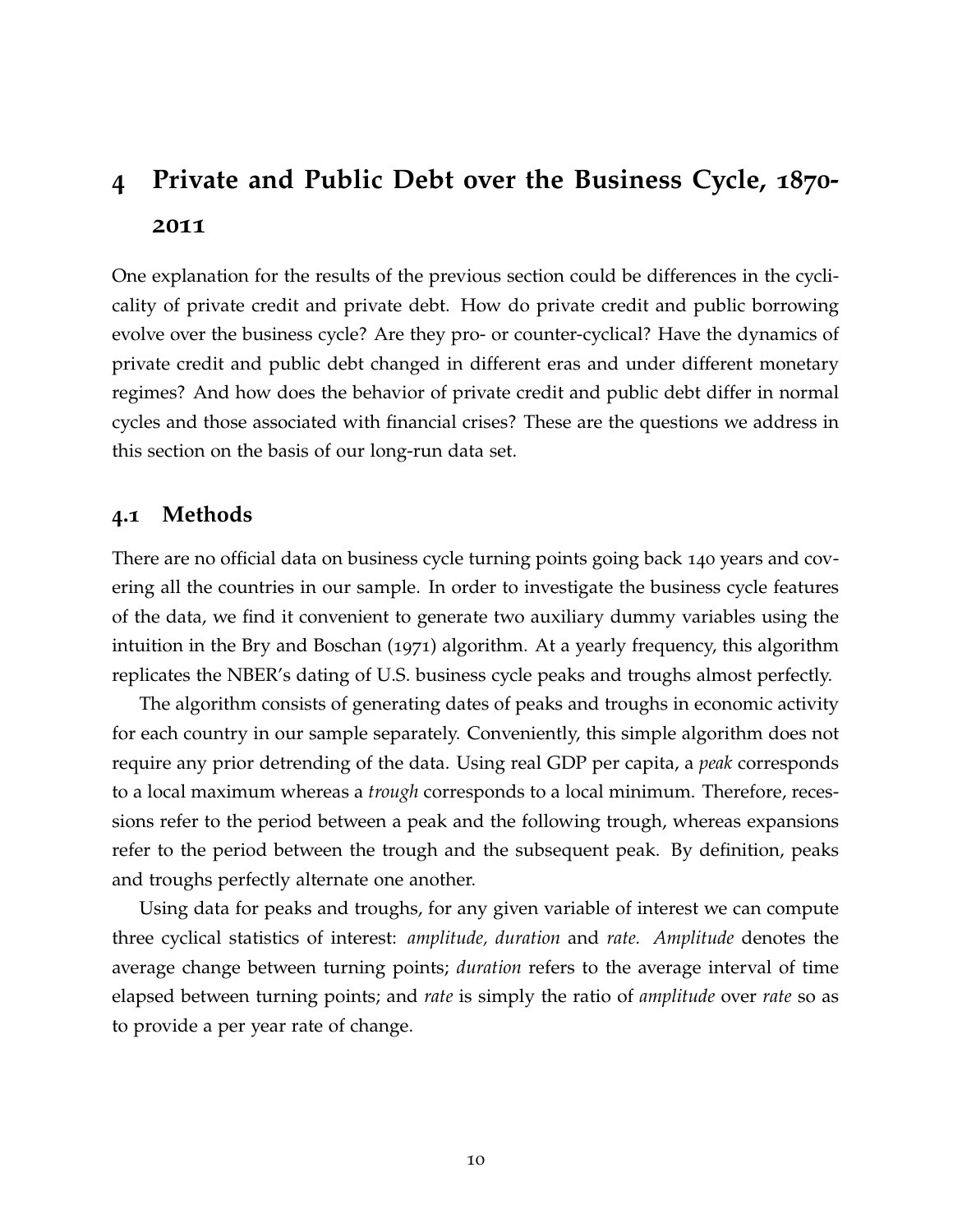# **4 Private and Public Debt over the Business Cycle, 1870- 2011**

One explanation for the results of the previous section could be differences in the cyclicality of private credit and private debt. How do private credit and public borrowing evolve over the business cycle? Are they pro- or counter-cyclical? Have the dynamics of private credit and public debt changed in different eras and under different monetary regimes? And how does the behavior of private credit and public debt differ in normal cycles and those associated with financial crises? These are the questions we address in this section on the basis of our long-run data set.

#### **4.1 Methods**

There are no official data on business cycle turning points going back 140 years and covering all the countries in our sample. In order to investigate the business cycle features of the data, we find it convenient to generate two auxiliary dummy variables using the intuition in the Bry and Boschan (1971) algorithm. At a yearly frequency, this algorithm replicates the NBER's dating of U.S. business cycle peaks and troughs almost perfectly.

The algorithm consists of generating dates of peaks and troughs in economic activity for each country in our sample separately. Conveniently, this simple algorithm does not require any prior detrending of the data. Using real GDP per capita, a *peak* corresponds to a local maximum whereas a *trough* corresponds to a local minimum. Therefore, recessions refer to the period between a peak and the following trough, whereas expansions refer to the period between the trough and the subsequent peak. By definition, peaks and troughs perfectly alternate one another.

Using data for peaks and troughs, for any given variable of interest we can compute three cyclical statistics of interest: *amplitude, duration* and *rate. Amplitude* denotes the average change between turning points; *duration* refers to the average interval of time elapsed between turning points; and *rate* is simply the ratio of *amplitude* over *rate* so as to provide a per year rate of change.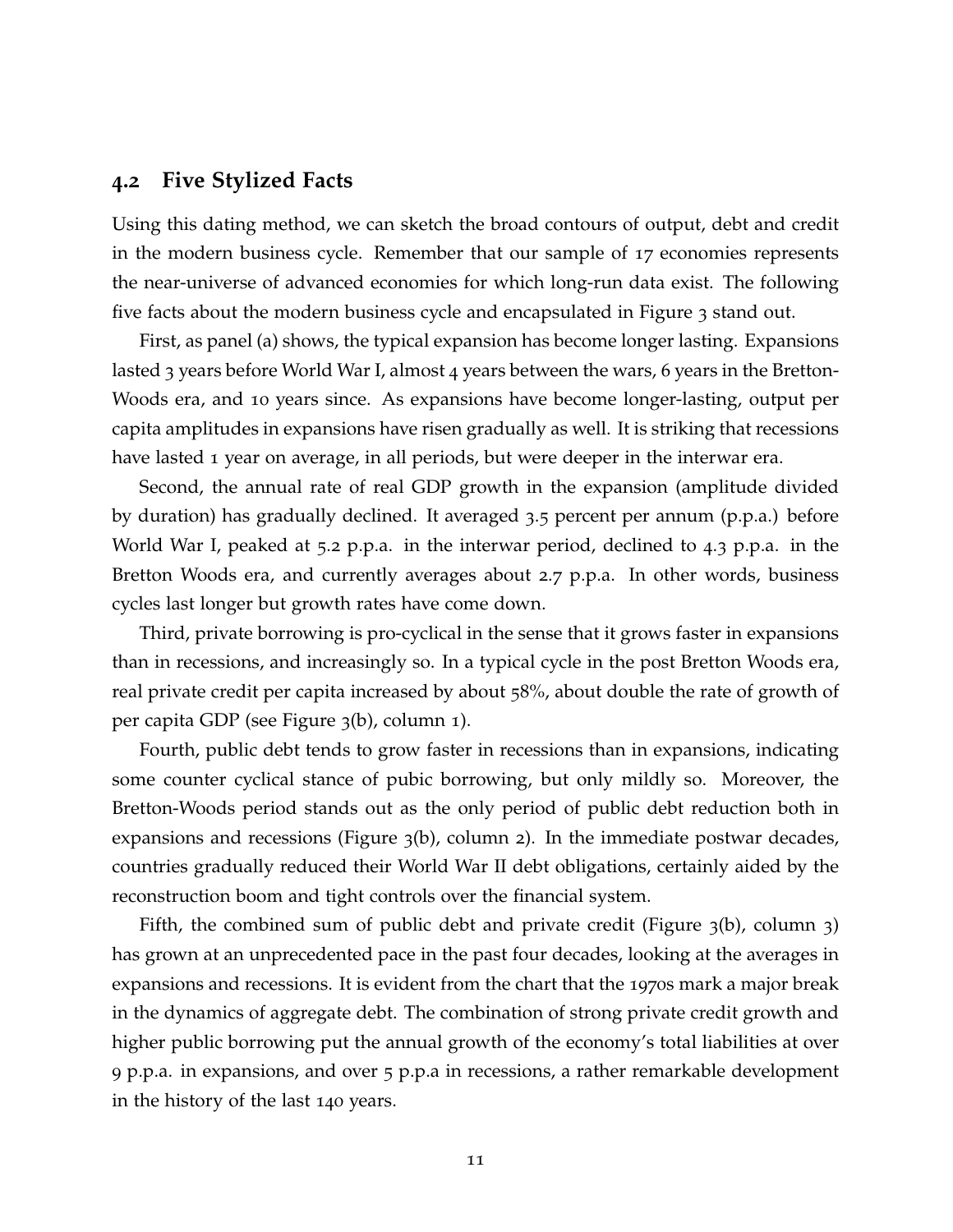#### **4.2 Five Stylized Facts**

Using this dating method, we can sketch the broad contours of output, debt and credit in the modern business cycle. Remember that our sample of 17 economies represents the near-universe of advanced economies for which long-run data exist. The following five facts about the modern business cycle and encapsulated in Figure 3 stand out.

First, as panel (a) shows, the typical expansion has become longer lasting. Expansions lasted 3 years before World War I, almost 4 years between the wars, 6 years in the Bretton-Woods era, and 10 years since. As expansions have become longer-lasting, output per capita amplitudes in expansions have risen gradually as well. It is striking that recessions have lasted 1 year on average, in all periods, but were deeper in the interwar era.

Second, the annual rate of real GDP growth in the expansion (amplitude divided by duration) has gradually declined. It averaged 3.5 percent per annum (p.p.a.) before World War I, peaked at 5.2 p.p.a. in the interwar period, declined to 4.3 p.p.a. in the Bretton Woods era, and currently averages about 2.7 p.p.a. In other words, business cycles last longer but growth rates have come down.

Third, private borrowing is pro-cyclical in the sense that it grows faster in expansions than in recessions, and increasingly so. In a typical cycle in the post Bretton Woods era, real private credit per capita increased by about 58%, about double the rate of growth of per capita GDP (see Figure 3(b), column 1).

Fourth, public debt tends to grow faster in recessions than in expansions, indicating some counter cyclical stance of pubic borrowing, but only mildly so. Moreover, the Bretton-Woods period stands out as the only period of public debt reduction both in expansions and recessions (Figure 3(b), column 2). In the immediate postwar decades, countries gradually reduced their World War II debt obligations, certainly aided by the reconstruction boom and tight controls over the financial system.

Fifth, the combined sum of public debt and private credit (Figure 3(b), column 3) has grown at an unprecedented pace in the past four decades, looking at the averages in expansions and recessions. It is evident from the chart that the 1970s mark a major break in the dynamics of aggregate debt. The combination of strong private credit growth and higher public borrowing put the annual growth of the economy's total liabilities at over 9 p.p.a. in expansions, and over 5 p.p.a in recessions, a rather remarkable development in the history of the last 140 years.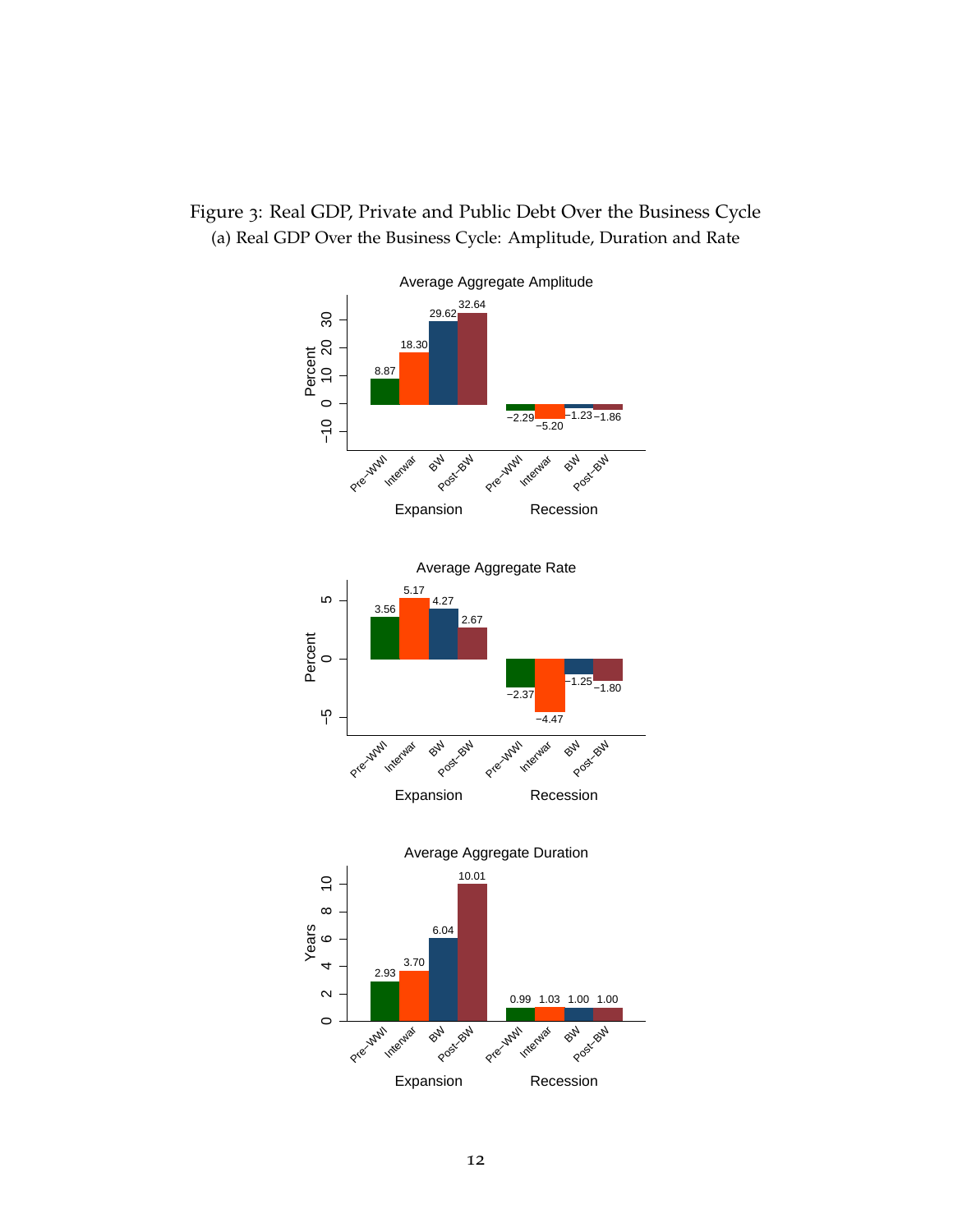

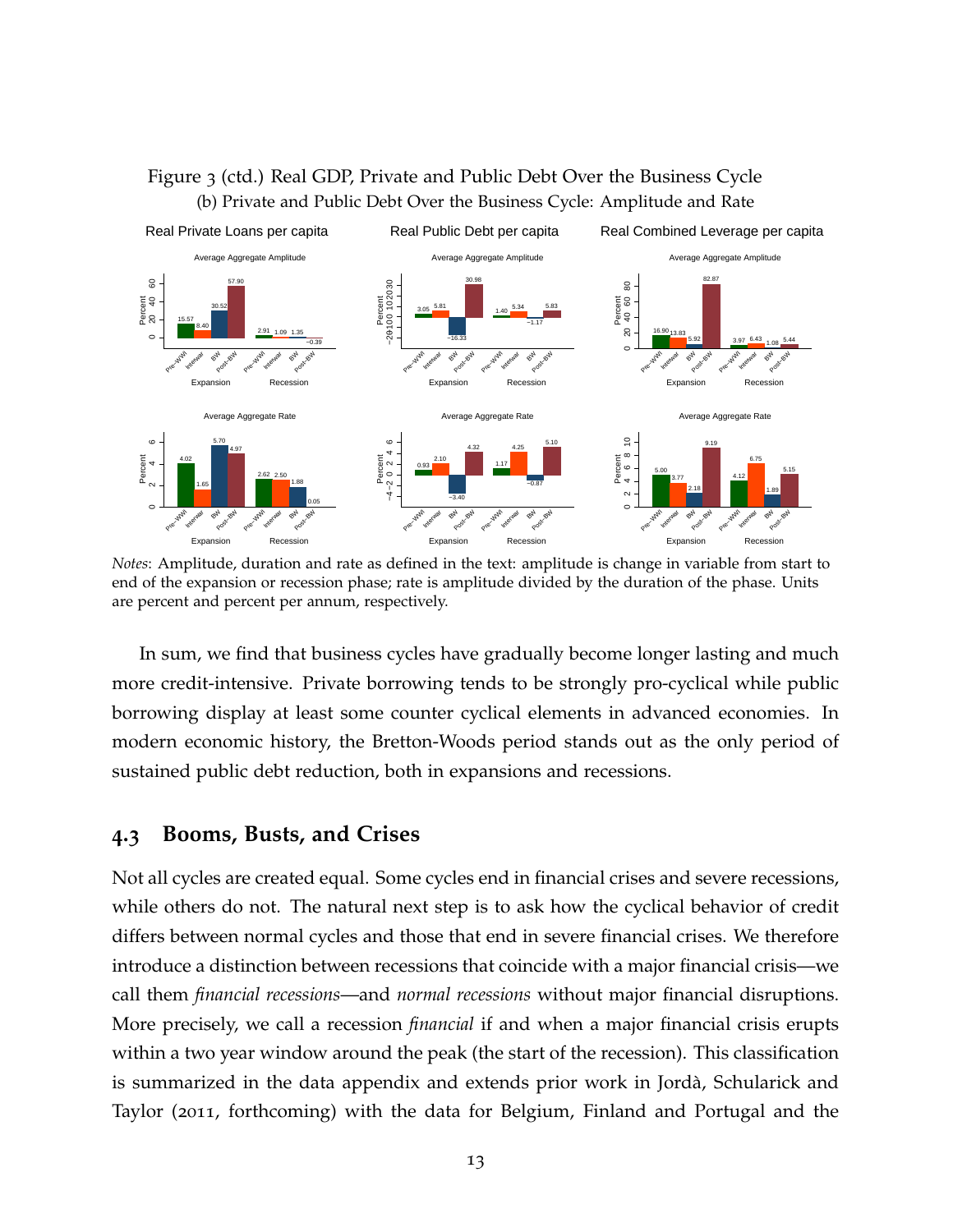#### Figure 3 (ctd.) Real GDP, Private and Public Debt Over the Business Cycle (b) Private and Public Debt Over the Business Cycle: Amplitude and Rate



*Notes*: Amplitude, duration and rate as defined in the text: amplitude is change in variable from start to end of the expansion or recession phase; rate is amplitude divided by the duration of the phase. Units are percent and percent per annum, respectively.

In sum, we find that business cycles have gradually become longer lasting and much more credit-intensive. Private borrowing tends to be strongly pro-cyclical while public borrowing display at least some counter cyclical elements in advanced economies. In modern economic history, the Bretton-Woods period stands out as the only period of sustained public debt reduction, both in expansions and recessions.

#### **4.3 Booms, Busts, and Crises**

Not all cycles are created equal. Some cycles end in financial crises and severe recessions, while others do not. The natural next step is to ask how the cyclical behavior of credit differs between normal cycles and those that end in severe financial crises. We therefore introduce a distinction between recessions that coincide with a major financial crisis—we call them *financial recessions*—and *normal recessions* without major financial disruptions. More precisely, we call a recession *financial* if and when a major financial crisis erupts within a two year window around the peak (the start of the recession). This classification is summarized in the data appendix and extends prior work in Jorda, Schularick and ` Taylor (2011, forthcoming) with the data for Belgium, Finland and Portugal and the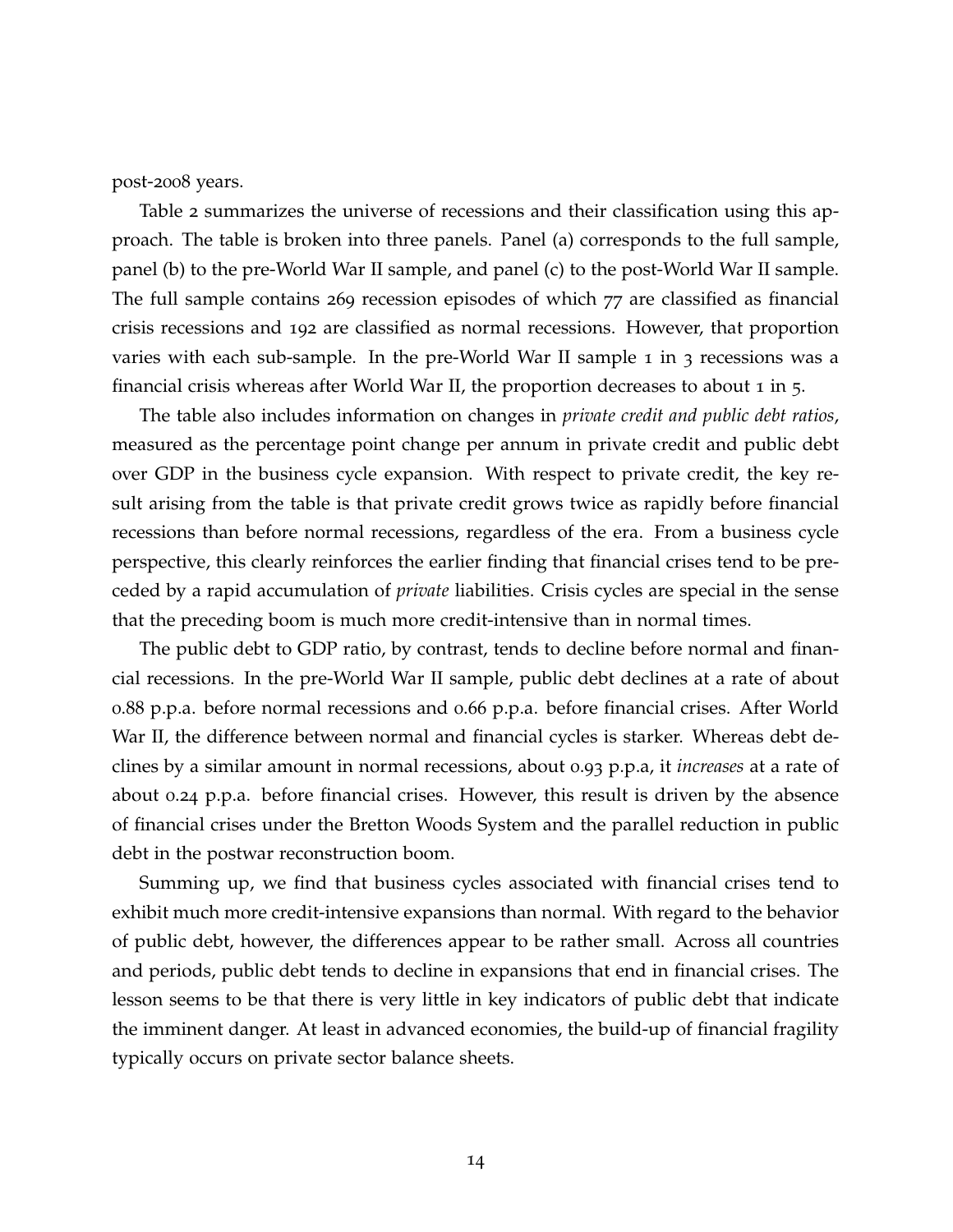post-2008 years.

Table 2 summarizes the universe of recessions and their classification using this approach. The table is broken into three panels. Panel (a) corresponds to the full sample, panel (b) to the pre-World War II sample, and panel (c) to the post-World War II sample. The full sample contains 269 recession episodes of which 77 are classified as financial crisis recessions and 192 are classified as normal recessions. However, that proportion varies with each sub-sample. In the pre-World War II sample 1 in 3 recessions was a financial crisis whereas after World War II, the proportion decreases to about 1 in 5.

The table also includes information on changes in *private credit and public debt ratios*, measured as the percentage point change per annum in private credit and public debt over GDP in the business cycle expansion. With respect to private credit, the key result arising from the table is that private credit grows twice as rapidly before financial recessions than before normal recessions, regardless of the era. From a business cycle perspective, this clearly reinforces the earlier finding that financial crises tend to be preceded by a rapid accumulation of *private* liabilities. Crisis cycles are special in the sense that the preceding boom is much more credit-intensive than in normal times.

The public debt to GDP ratio, by contrast, tends to decline before normal and financial recessions. In the pre-World War II sample, public debt declines at a rate of about 0.88 p.p.a. before normal recessions and 0.66 p.p.a. before financial crises. After World War II, the difference between normal and financial cycles is starker. Whereas debt declines by a similar amount in normal recessions, about 0.93 p.p.a, it *increases* at a rate of about 0.24 p.p.a. before financial crises. However, this result is driven by the absence of financial crises under the Bretton Woods System and the parallel reduction in public debt in the postwar reconstruction boom.

Summing up, we find that business cycles associated with financial crises tend to exhibit much more credit-intensive expansions than normal. With regard to the behavior of public debt, however, the differences appear to be rather small. Across all countries and periods, public debt tends to decline in expansions that end in financial crises. The lesson seems to be that there is very little in key indicators of public debt that indicate the imminent danger. At least in advanced economies, the build-up of financial fragility typically occurs on private sector balance sheets.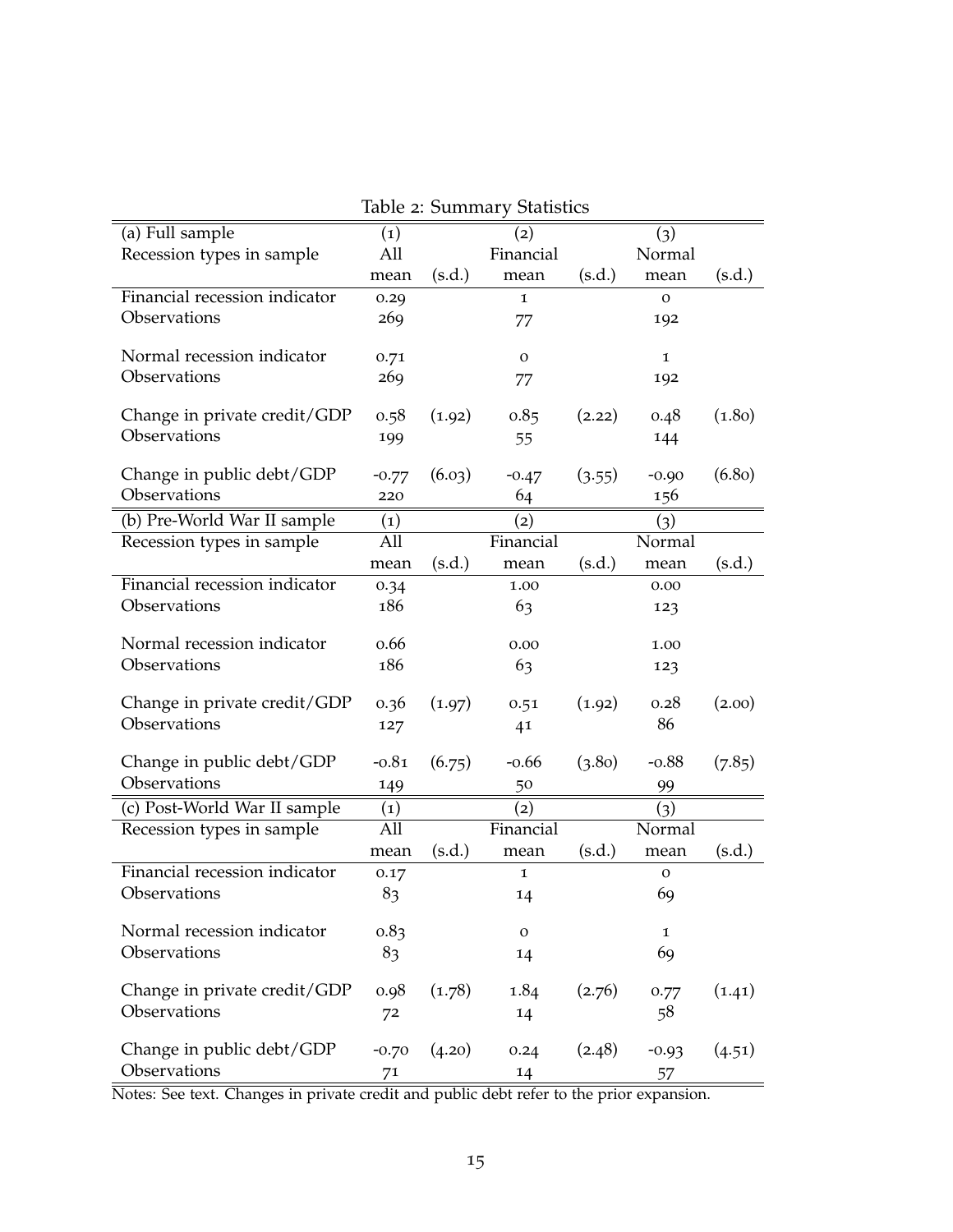|                               |                   |        | Table 2: Summary Statistics |        |              |        |
|-------------------------------|-------------------|--------|-----------------------------|--------|--------------|--------|
| $(a)$ Full sample             | (1)               |        | (2)                         |        | (3)          |        |
| Recession types in sample     | All               |        | Financial                   |        | Normal       |        |
|                               | mean              | (s.d.) | mean                        | (s.d.) | mean         | (s.d.) |
| Financial recession indicator | 0.29              |        | $\mathbf{1}$                |        | $\mathbf{O}$ |        |
| Observations                  | 269               |        | 77                          |        | 192          |        |
|                               |                   |        |                             |        |              |        |
| Normal recession indicator    | 0.71              |        | 0                           |        | 1            |        |
| Observations                  | 269               |        | 77                          |        | 192          |        |
|                               |                   |        |                             |        |              |        |
| Change in private credit/GDP  | 0.58              | (1.92) | 0.85                        | (2.22) | 0.48         | (1.80) |
| Observations                  | 199               |        | 55                          |        | 144          |        |
| Change in public debt/GDP     | $-0.77$           | (6.03) | $-0.47$                     | (3.55) | $-0.90$      | (6.8o) |
| Observations                  | 220               |        | 64                          |        | 156          |        |
|                               |                   |        |                             |        |              |        |
| (b) Pre-World War II sample   | $\left( 1\right)$ |        | (2)                         |        | (3)          |        |
| Recession types in sample     | All               |        | Financial                   |        | Normal       |        |
|                               | mean              | (s.d.) | mean                        | (s.d.) | mean         | (s.d.) |
| Financial recession indicator | 0.34              |        | 1.00                        |        | 0.00         |        |
| Observations                  | 186               |        | 63                          |        | 123          |        |
| Normal recession indicator    | 0.66              |        | 0.00                        |        | 1.00         |        |
| Observations                  | 186               |        | 63                          |        |              |        |
|                               |                   |        |                             |        | 123          |        |
| Change in private credit/GDP  | 0.36              | (1.97) | 0.51                        | (1.92) | 0.28         | (2.00) |
| Observations                  | 127               |        | 41                          |        | 86           |        |
|                               |                   |        |                             |        |              |        |
| Change in public debt/GDP     | $-0.81$           | (6.75) | $-0.66$                     | (3.80) | $-0.88$      | (7.85) |
| Observations                  | 149               |        | 50                          |        | 99           |        |
| (c) Post-World War II sample  | $\left( 1\right)$ |        | (2)                         |        | (3)          |        |
| Recession types in sample     | All               |        | Financial                   |        | Normal       |        |
|                               | mean              | (s.d.) | mean                        | (s.d.) | mean         | (s.d.) |
| Financial recession indicator | 0.17              |        | $\mathbf 1$                 |        | $\mathbf{O}$ |        |
| Observations                  | 83                |        | 14                          |        | 69           |        |
|                               |                   |        |                             |        |              |        |
| Normal recession indicator    | 0.83              |        | $\mathbf{O}$                |        | 1            |        |
| Observations                  | 83                |        | 14                          |        | 69           |        |
|                               |                   |        |                             |        |              |        |
| Change in private credit/GDP  | 0.98              | (1.78) | 1.84                        | (2.76) | 0.77         | (1.41) |
| Observations                  | 72                |        | 14                          |        | 58           |        |
|                               |                   |        |                             |        |              |        |
| Change in public debt/GDP     | $-0.70$           | (4.20) | 0.24                        | (2.48) | $-0.93$      | (4.51) |
| Observations                  | 71                |        | 14                          |        | 57           |        |

Table 2: Summary Statistics

Notes: See text. Changes in private credit and public debt refer to the prior expansion.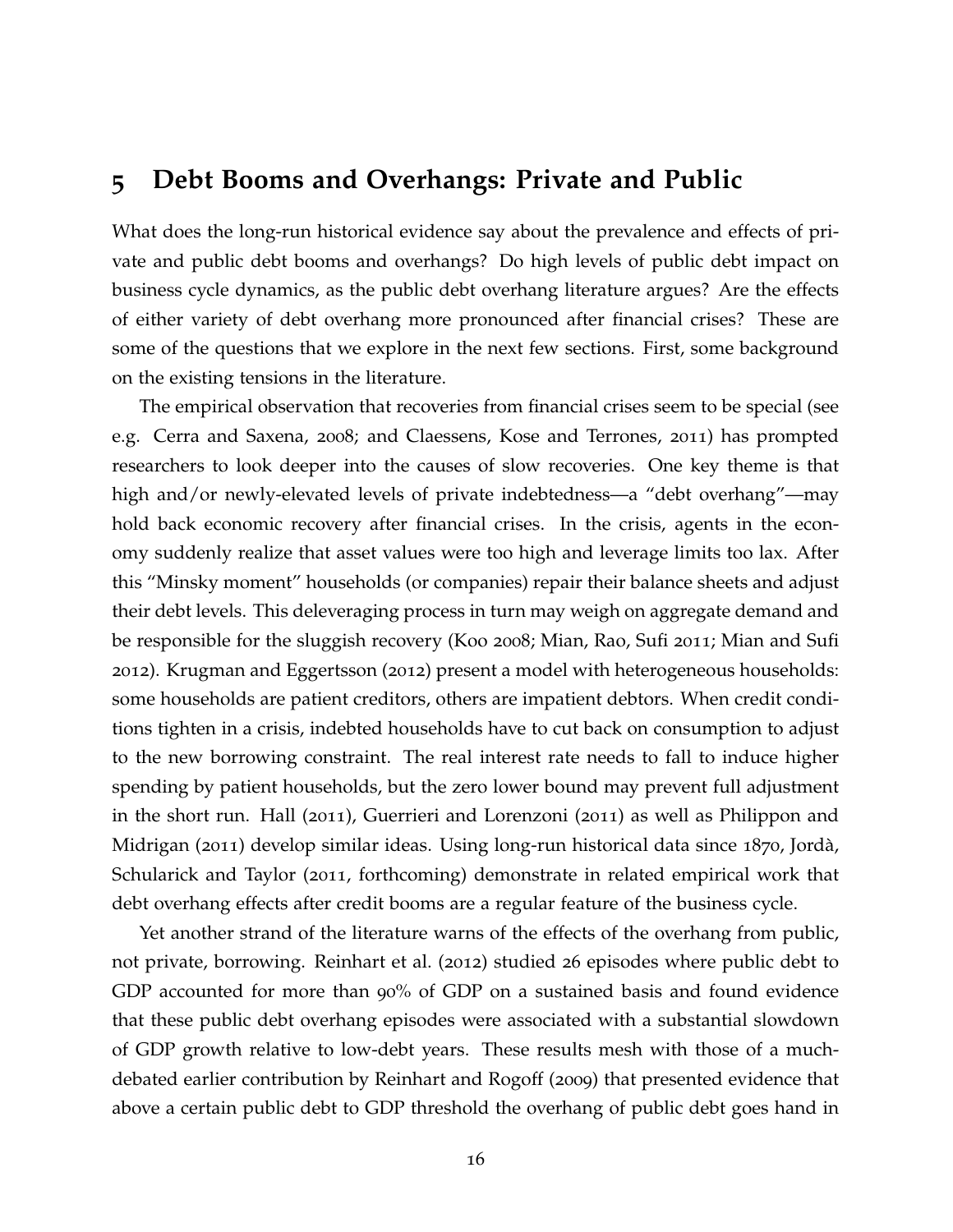## **5 Debt Booms and Overhangs: Private and Public**

What does the long-run historical evidence say about the prevalence and effects of private and public debt booms and overhangs? Do high levels of public debt impact on business cycle dynamics, as the public debt overhang literature argues? Are the effects of either variety of debt overhang more pronounced after financial crises? These are some of the questions that we explore in the next few sections. First, some background on the existing tensions in the literature.

The empirical observation that recoveries from financial crises seem to be special (see e.g. Cerra and Saxena, 2008; and Claessens, Kose and Terrones, 2011) has prompted researchers to look deeper into the causes of slow recoveries. One key theme is that high and/or newly-elevated levels of private indebtedness—a "debt overhang"—may hold back economic recovery after financial crises. In the crisis, agents in the economy suddenly realize that asset values were too high and leverage limits too lax. After this "Minsky moment" households (or companies) repair their balance sheets and adjust their debt levels. This deleveraging process in turn may weigh on aggregate demand and be responsible for the sluggish recovery (Koo 2008; Mian, Rao, Sufi 2011; Mian and Sufi 2012). Krugman and Eggertsson (2012) present a model with heterogeneous households: some households are patient creditors, others are impatient debtors. When credit conditions tighten in a crisis, indebted households have to cut back on consumption to adjust to the new borrowing constraint. The real interest rate needs to fall to induce higher spending by patient households, but the zero lower bound may prevent full adjustment in the short run. Hall (2011), Guerrieri and Lorenzoni (2011) as well as Philippon and Midrigan (2011) develop similar ideas. Using long-run historical data since 1870, Jorda,` Schularick and Taylor (2011, forthcoming) demonstrate in related empirical work that debt overhang effects after credit booms are a regular feature of the business cycle.

Yet another strand of the literature warns of the effects of the overhang from public, not private, borrowing. Reinhart et al. (2012) studied 26 episodes where public debt to GDP accounted for more than 90% of GDP on a sustained basis and found evidence that these public debt overhang episodes were associated with a substantial slowdown of GDP growth relative to low-debt years. These results mesh with those of a muchdebated earlier contribution by Reinhart and Rogoff (2009) that presented evidence that above a certain public debt to GDP threshold the overhang of public debt goes hand in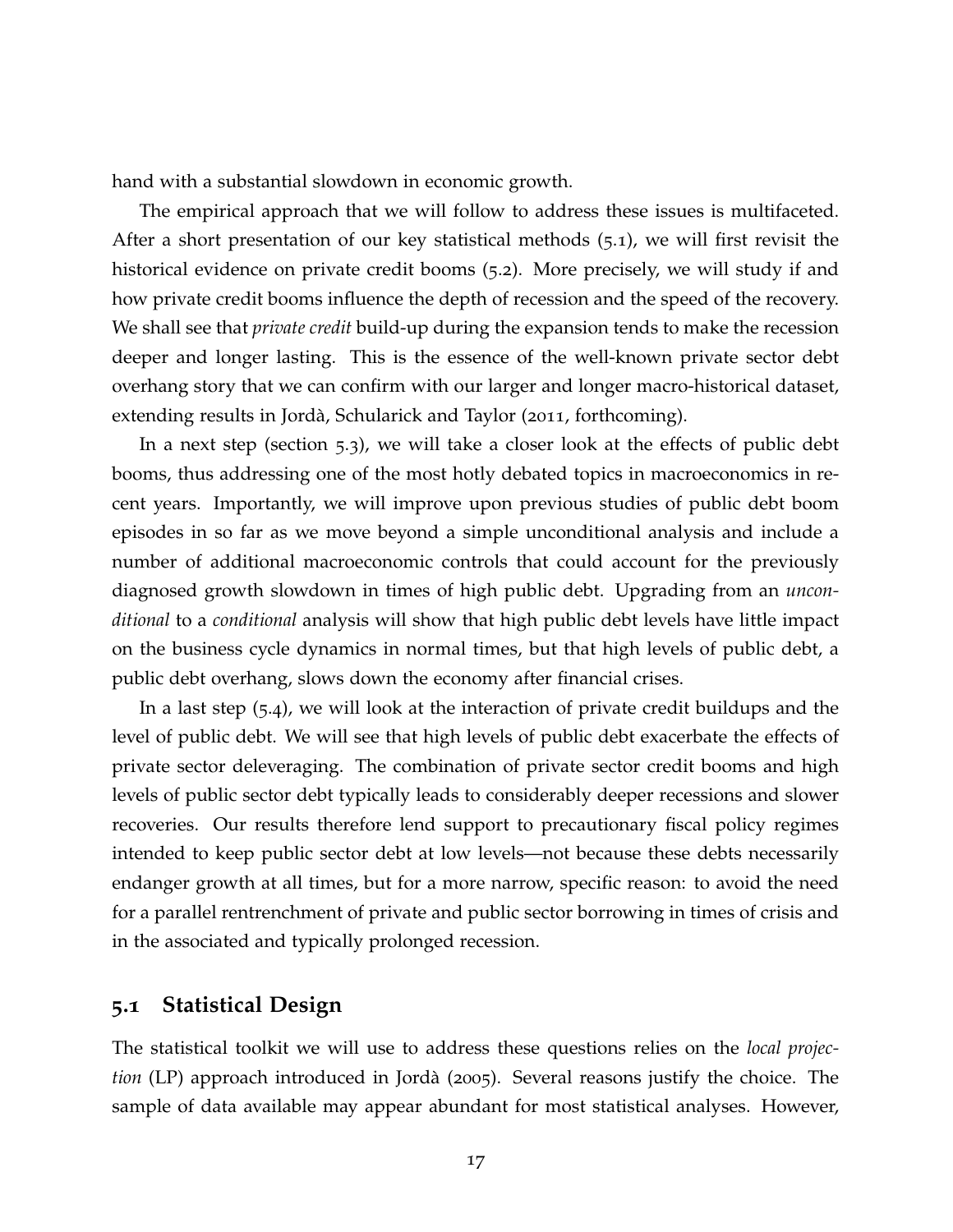hand with a substantial slowdown in economic growth.

The empirical approach that we will follow to address these issues is multifaceted. After a short presentation of our key statistical methods (5.1), we will first revisit the historical evidence on private credit booms (5.2). More precisely, we will study if and how private credit booms influence the depth of recession and the speed of the recovery. We shall see that *private credit* build-up during the expansion tends to make the recession deeper and longer lasting. This is the essence of the well-known private sector debt overhang story that we can confirm with our larger and longer macro-historical dataset, extending results in Jordà, Schularick and Taylor (2011, forthcoming).

In a next step (section 5.3), we will take a closer look at the effects of public debt booms, thus addressing one of the most hotly debated topics in macroeconomics in recent years. Importantly, we will improve upon previous studies of public debt boom episodes in so far as we move beyond a simple unconditional analysis and include a number of additional macroeconomic controls that could account for the previously diagnosed growth slowdown in times of high public debt. Upgrading from an *unconditional* to a *conditional* analysis will show that high public debt levels have little impact on the business cycle dynamics in normal times, but that high levels of public debt, a public debt overhang, slows down the economy after financial crises.

In a last step (5.4), we will look at the interaction of private credit buildups and the level of public debt. We will see that high levels of public debt exacerbate the effects of private sector deleveraging. The combination of private sector credit booms and high levels of public sector debt typically leads to considerably deeper recessions and slower recoveries. Our results therefore lend support to precautionary fiscal policy regimes intended to keep public sector debt at low levels—not because these debts necessarily endanger growth at all times, but for a more narrow, specific reason: to avoid the need for a parallel rentrenchment of private and public sector borrowing in times of crisis and in the associated and typically prolonged recession.

### **5.1 Statistical Design**

The statistical toolkit we will use to address these questions relies on the *local projection* (LP) approach introduced in Jordà (2005). Several reasons justify the choice. The sample of data available may appear abundant for most statistical analyses. However,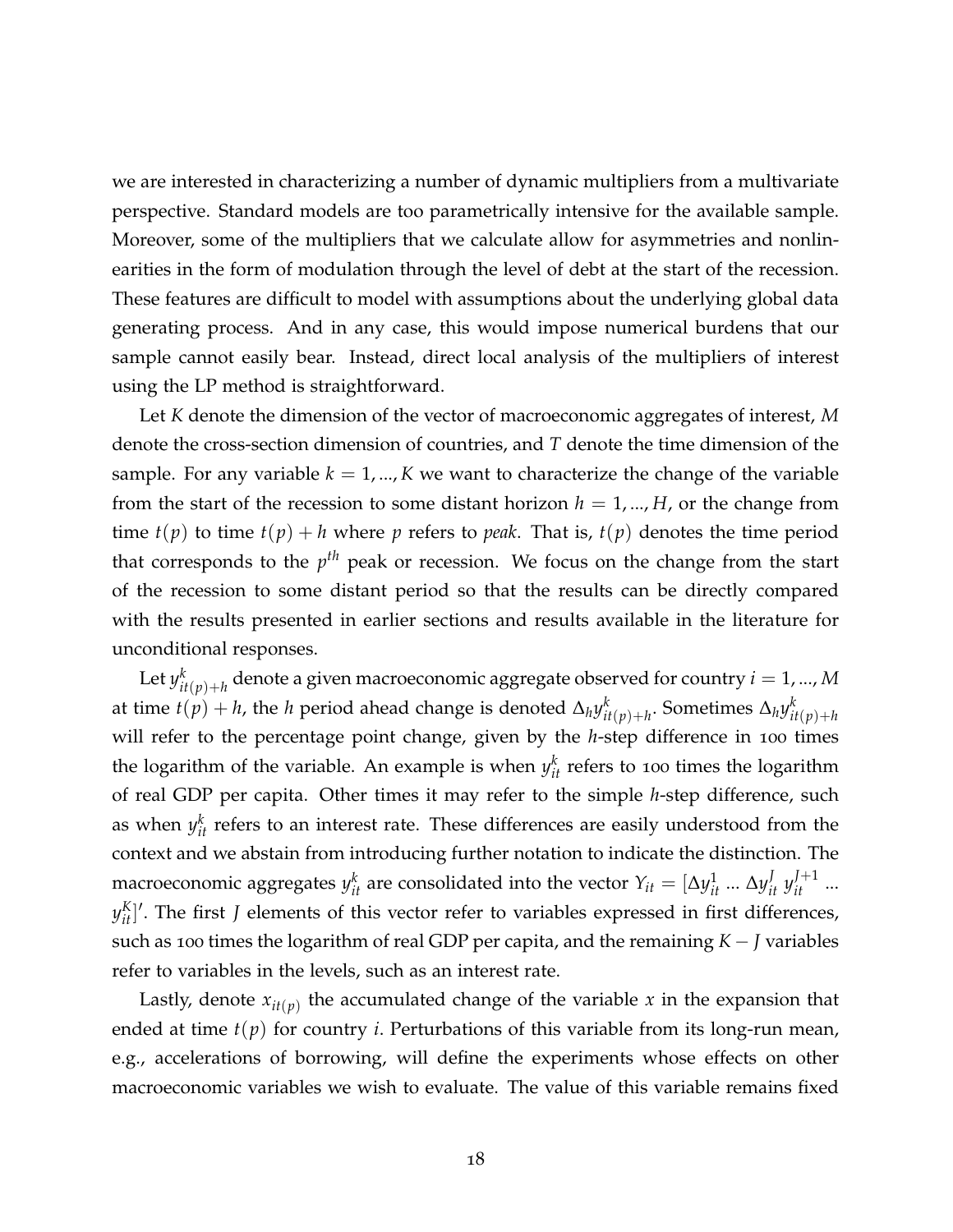we are interested in characterizing a number of dynamic multipliers from a multivariate perspective. Standard models are too parametrically intensive for the available sample. Moreover, some of the multipliers that we calculate allow for asymmetries and nonlinearities in the form of modulation through the level of debt at the start of the recession. These features are difficult to model with assumptions about the underlying global data generating process. And in any case, this would impose numerical burdens that our sample cannot easily bear. Instead, direct local analysis of the multipliers of interest using the LP method is straightforward.

Let *K* denote the dimension of the vector of macroeconomic aggregates of interest, *M* denote the cross-section dimension of countries, and *T* denote the time dimension of the sample. For any variable  $k = 1, ..., K$  we want to characterize the change of the variable from the start of the recession to some distant horizon  $h = 1, ..., H$ , or the change from time  $t(p)$  to time  $t(p) + h$  where p refers to peak. That is,  $t(p)$  denotes the time period that corresponds to the  $p^{th}$  peak or recession. We focus on the change from the start of the recession to some distant period so that the results can be directly compared with the results presented in earlier sections and results available in the literature for unconditional responses.

Let *y k*  $\alpha_{it(p)+h}^k$  denote a given macroeconomic aggregate observed for country  $i=1,...,M$ at time  $t(p) + h$ , the *h* period ahead change is denoted  $\Delta_h y^k_{\hat{h}}$ *it*(*p*)+*h* . Sometimes ∆*hy k it*(*p*)+*h* will refer to the percentage point change, given by the *h*-step difference in 100 times the logarithm of the variable. An example is when  $y_{it}^k$  refers to 100 times the logarithm of real GDP per capita. Other times it may refer to the simple *h*-step difference, such as when  $y_{it}^k$  refers to an interest rate. These differences are easily understood from the context and we abstain from introducing further notation to indicate the distinction. The macroeconomic aggregates  $y_{it}^k$  are consolidated into the vector  $Y_{it} = [\Delta y_{it}^1 \ ... \ \Delta y_{it}^J \ y_{it}^{J+1} \ ...$  $y_{it}^{K}$ ]'. The first *J* elements of this vector refer to variables expressed in first differences, such as 100 times the logarithm of real GDP per capita, and the remaining *K* − *J* variables refer to variables in the levels, such as an interest rate.

Lastly, denote  $x_{it(p)}$  the accumulated change of the variable  $x$  in the expansion that ended at time  $t(p)$  for country *i*. Perturbations of this variable from its long-run mean, e.g., accelerations of borrowing, will define the experiments whose effects on other macroeconomic variables we wish to evaluate. The value of this variable remains fixed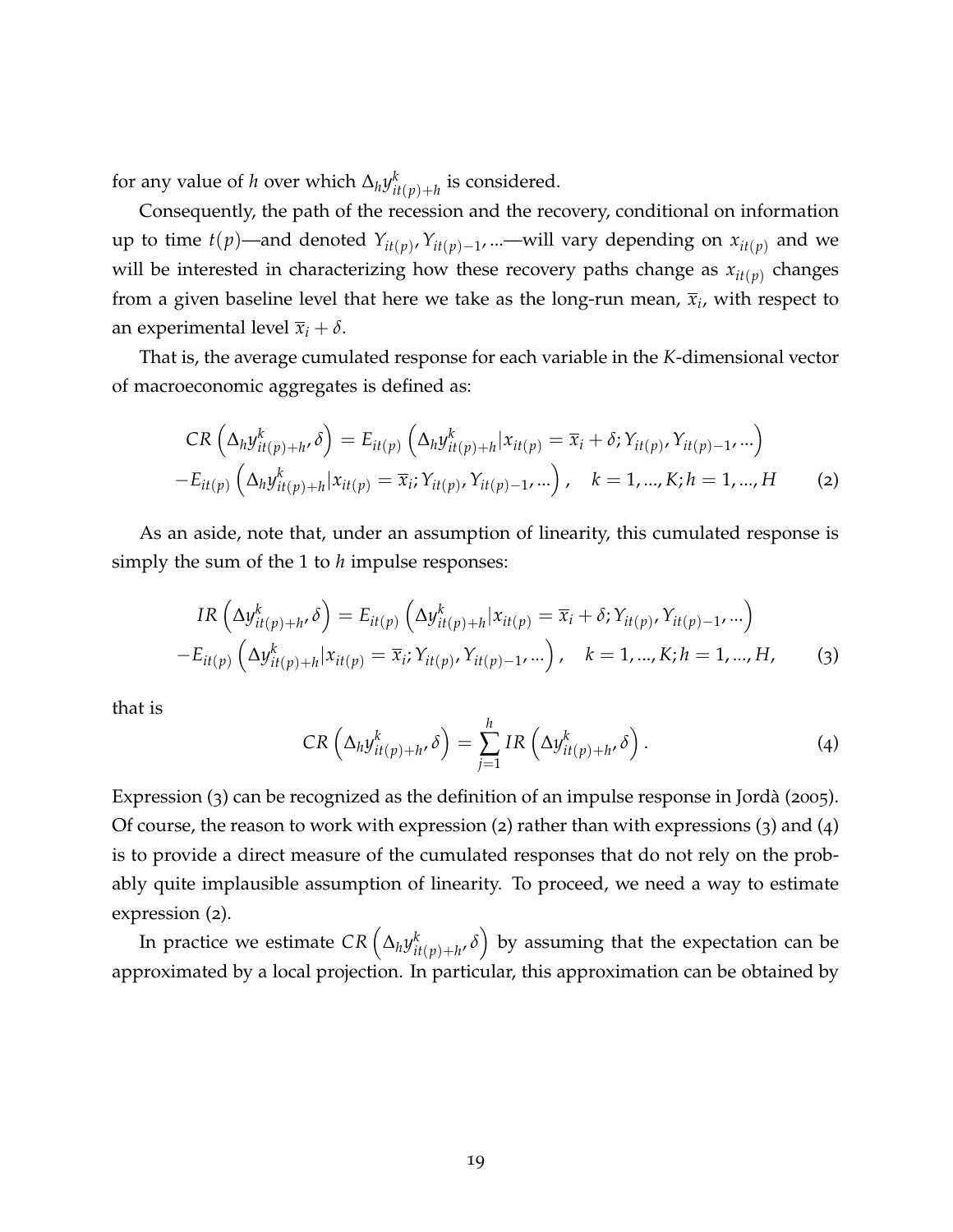for any value of *h* over which  $\Delta_h y^k_{ij}$  $\frac{\kappa}{it(p)+h}$  is considered.

Consequently, the path of the recession and the recovery, conditional on information up to time  $t(p)$ —and denoted  $Y_{it(p)}$ ,  $Y_{it(p)-1}$ , ...—will vary depending on  $x_{it(p)}$  and we will be interested in characterizing how these recovery paths change as  $x_{it(p)}$  changes from a given baseline level that here we take as the long-run mean,  $\overline{x}_i$ , with respect to an experimental level  $\overline{x}_i + \delta$ .

That is, the average cumulated response for each variable in the *K*-dimensional vector of macroeconomic aggregates is defined as:

$$
CR\left(\Delta_{h}y_{it(p)+h}^{k},\delta\right) = E_{it(p)}\left(\Delta_{h}y_{it(p)+h}^{k}|x_{it(p)} = \overline{x}_{i} + \delta; Y_{it(p)}, Y_{it(p)-1}, ... \right) - E_{it(p)}\left(\Delta_{h}y_{it(p)+h}^{k}|x_{it(p)} = \overline{x}_{i}; Y_{it(p)}, Y_{it(p)-1}, ... \right), \quad k = 1, ..., K; h = 1, ..., H
$$
 (2)

As an aside, note that, under an assumption of linearity, this cumulated response is simply the sum of the 1 to *h* impulse responses:

$$
IR\left(\Delta y_{it(p)+h}^{k}, \delta\right) = E_{it(p)}\left(\Delta y_{it(p)+h}^{k} | x_{it(p)} = \overline{x}_{i} + \delta; Y_{it(p)}, Y_{it(p)-1}, ... \right) - E_{it(p)}\left(\Delta y_{it(p)+h}^{k} | x_{it(p)} = \overline{x}_{i}; Y_{it(p)}, Y_{it(p)-1}, ... \right), \quad k = 1, ..., K; h = 1, ..., H,
$$
 (3)

that is

$$
CR\left(\Delta_h y_{it(p)+h'}^k \delta\right) = \sum_{j=1}^h IR\left(\Delta y_{it(p)+h'}^k \delta\right).
$$
 (4)

Expression  $(3)$  can be recognized as the definition of an impulse response in Jordà (2005). Of course, the reason to work with expression (2) rather than with expressions (3) and (4) is to provide a direct measure of the cumulated responses that do not rely on the probably quite implausible assumption of linearity. To proceed, we need a way to estimate expression (2).

In practice we estimate  $CR\left(\Delta_h y^k_{th}\right)$  $\int_{i t(p)+h'}^k \delta \Big)$  by assuming that the expectation can be approximated by a local projection. In particular, this approximation can be obtained by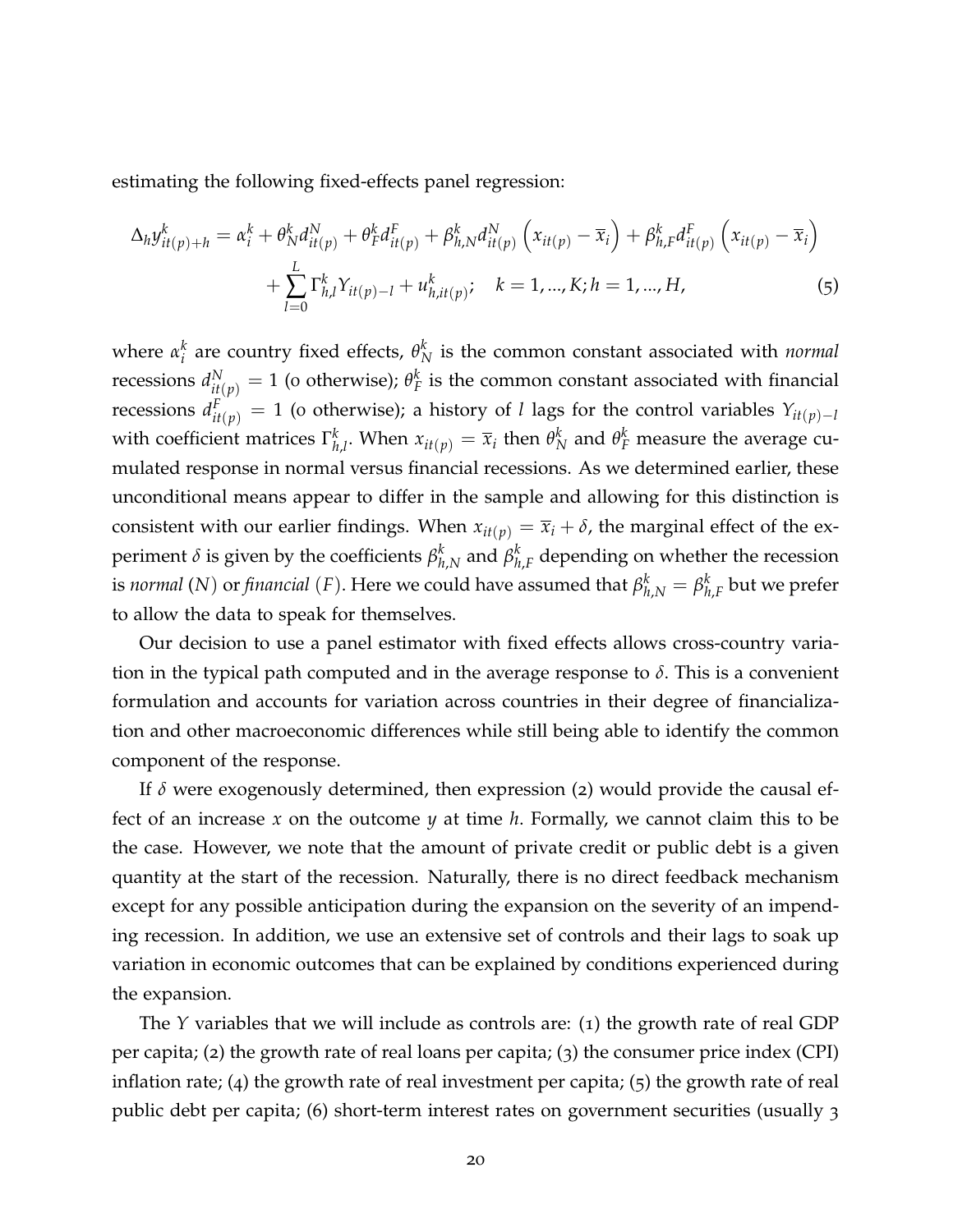estimating the following fixed-effects panel regression:

$$
\Delta_{h} y_{it(p)+h}^{k} = \alpha_{i}^{k} + \theta_{N}^{k} d_{it(p)}^{N} + \theta_{F}^{k} d_{it(p)}^{F} + \beta_{h,N}^{k} d_{it(p)}^{N} (x_{it(p)} - \overline{x}_{i}) + \beta_{h,F}^{k} d_{it(p)}^{F} (x_{it(p)} - \overline{x}_{i}) + \sum_{l=0}^{L} \Gamma_{h,l}^{k} Y_{it(p)-l} + u_{h,it(p)}^{k}; \quad k = 1, ..., K; h = 1, ..., H,
$$
\n(5)

where *α k*  $\mathbf{A}_i^k$  are country fixed effects,  $\mathbf{\theta}_N^k$  is the common constant associated with *normal* recessions  $d_{it(p)}^N = 1$  (o otherwise);  $\theta_f^k$  $\frac{\kappa}{F}$  is the common constant associated with financial recessions  $d_{it(p)}^F = 1$  (o otherwise); a history of *l* lags for the control variables  $Y_{it(p)-l}$ with coefficient matrices Γ *k*  $\hat{h}_{h,l}$ . When  $x_{it(p)} = \overline{x}_i$  then  $\theta^k_N$  and  $\theta^k_F$  measure the average cumulated response in normal versus financial recessions. As we determined earlier, these unconditional means appear to differ in the sample and allowing for this distinction is consistent with our earlier findings. When  $x_{it(p)} = \overline{x}_i + \delta$ , the marginal effect of the experiment *δ* is given by the coefficients *β k*  $_{h,N}^k$  and  $\beta_h^k$ *h*,*F* depending on whether the recession is *normal (N) or financial (F).* Here we could have assumed that  $\beta^k_{h,N} = \beta^k_h$ *h*,*F* but we prefer to allow the data to speak for themselves.

Our decision to use a panel estimator with fixed effects allows cross-country variation in the typical path computed and in the average response to *δ*. This is a convenient formulation and accounts for variation across countries in their degree of financialization and other macroeconomic differences while still being able to identify the common component of the response.

If  $\delta$  were exogenously determined, then expression (2) would provide the causal effect of an increase *x* on the outcome *y* at time *h*. Formally, we cannot claim this to be the case. However, we note that the amount of private credit or public debt is a given quantity at the start of the recession. Naturally, there is no direct feedback mechanism except for any possible anticipation during the expansion on the severity of an impending recession. In addition, we use an extensive set of controls and their lags to soak up variation in economic outcomes that can be explained by conditions experienced during the expansion.

The *Y* variables that we will include as controls are: (1) the growth rate of real GDP per capita; (2) the growth rate of real loans per capita; (3) the consumer price index (CPI) inflation rate; (4) the growth rate of real investment per capita; (5) the growth rate of real public debt per capita; (6) short-term interest rates on government securities (usually 3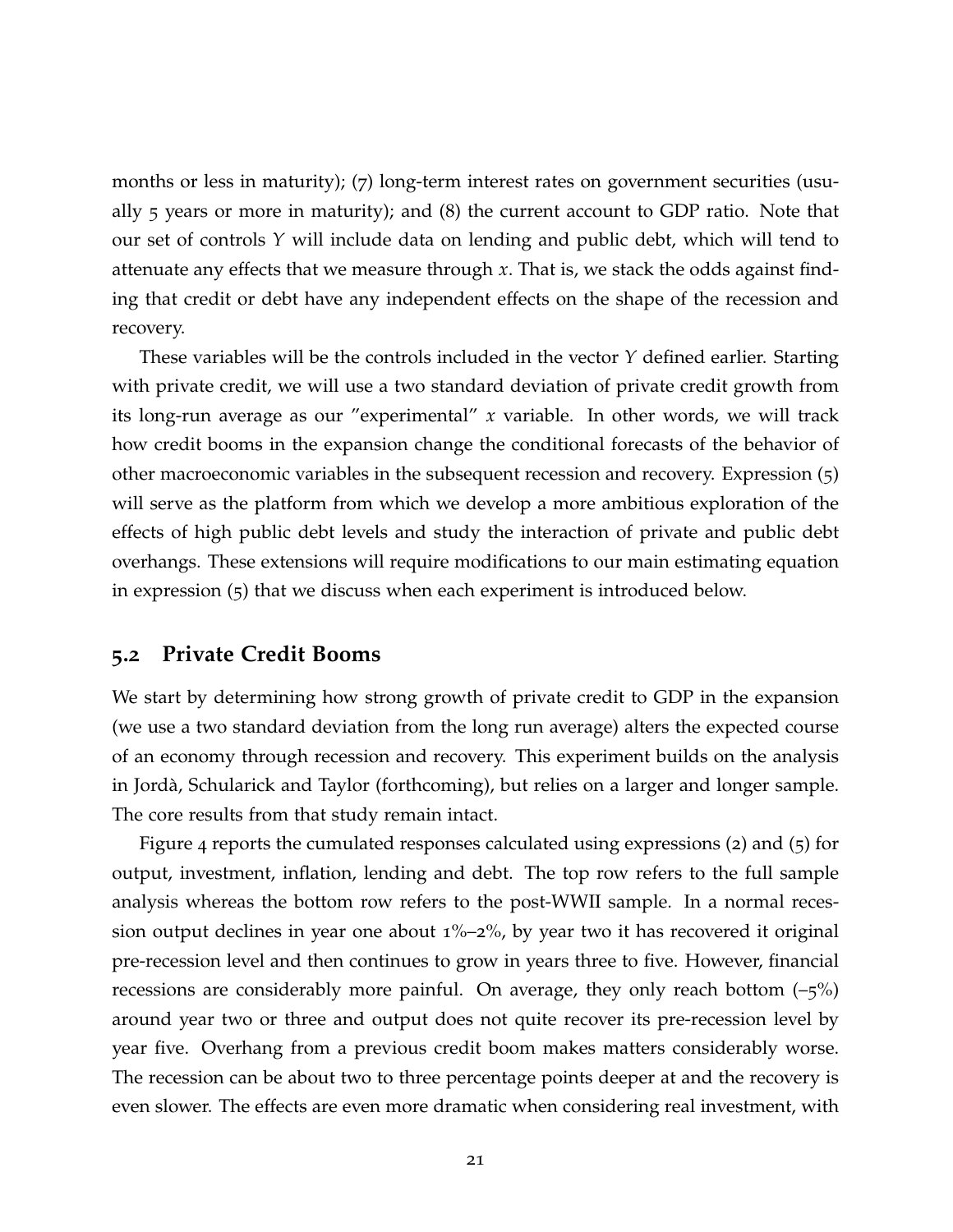months or less in maturity); (7) long-term interest rates on government securities (usually 5 years or more in maturity); and (8) the current account to GDP ratio. Note that our set of controls *Y* will include data on lending and public debt, which will tend to attenuate any effects that we measure through *x*. That is, we stack the odds against finding that credit or debt have any independent effects on the shape of the recession and recovery.

These variables will be the controls included in the vector *Y* defined earlier. Starting with private credit, we will use a two standard deviation of private credit growth from its long-run average as our "experimental" *x* variable. In other words, we will track how credit booms in the expansion change the conditional forecasts of the behavior of other macroeconomic variables in the subsequent recession and recovery. Expression (5) will serve as the platform from which we develop a more ambitious exploration of the effects of high public debt levels and study the interaction of private and public debt overhangs. These extensions will require modifications to our main estimating equation in expression (5) that we discuss when each experiment is introduced below.

#### **5.2 Private Credit Booms**

We start by determining how strong growth of private credit to GDP in the expansion (we use a two standard deviation from the long run average) alters the expected course of an economy through recession and recovery. This experiment builds on the analysis in Jorda, Schularick and Taylor (forthcoming), but relies on a larger and longer sample. ` The core results from that study remain intact.

Figure 4 reports the cumulated responses calculated using expressions (2) and (5) for output, investment, inflation, lending and debt. The top row refers to the full sample analysis whereas the bottom row refers to the post-WWII sample. In a normal recession output declines in year one about  $1\% - 2\%$ , by year two it has recovered it original pre-recession level and then continues to grow in years three to five. However, financial recessions are considerably more painful. On average, they only reach bottom  $(-5%)$ around year two or three and output does not quite recover its pre-recession level by year five. Overhang from a previous credit boom makes matters considerably worse. The recession can be about two to three percentage points deeper at and the recovery is even slower. The effects are even more dramatic when considering real investment, with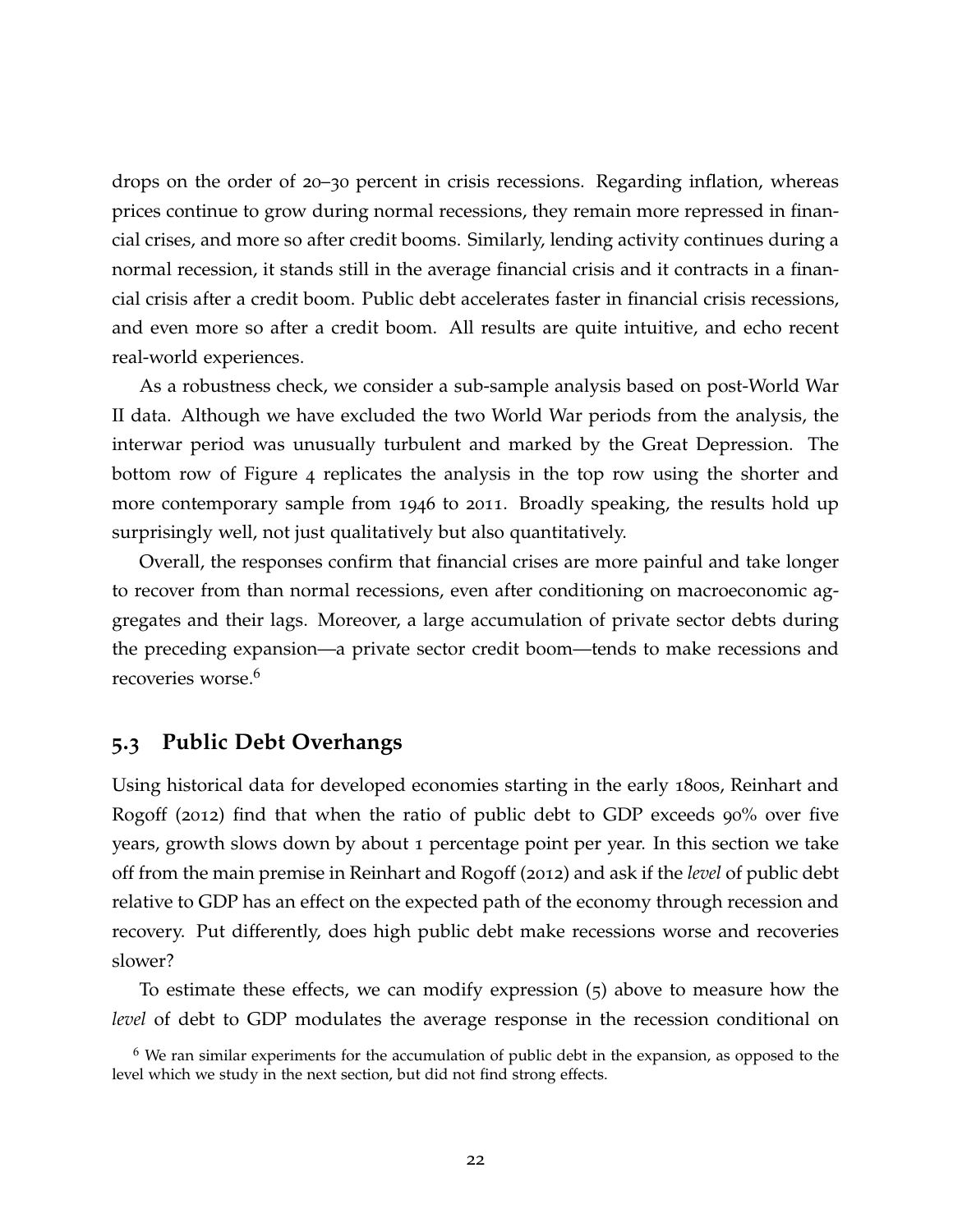drops on the order of 20–30 percent in crisis recessions. Regarding inflation, whereas prices continue to grow during normal recessions, they remain more repressed in financial crises, and more so after credit booms. Similarly, lending activity continues during a normal recession, it stands still in the average financial crisis and it contracts in a financial crisis after a credit boom. Public debt accelerates faster in financial crisis recessions, and even more so after a credit boom. All results are quite intuitive, and echo recent real-world experiences.

As a robustness check, we consider a sub-sample analysis based on post-World War II data. Although we have excluded the two World War periods from the analysis, the interwar period was unusually turbulent and marked by the Great Depression. The bottom row of Figure 4 replicates the analysis in the top row using the shorter and more contemporary sample from 1946 to 2011. Broadly speaking, the results hold up surprisingly well, not just qualitatively but also quantitatively.

Overall, the responses confirm that financial crises are more painful and take longer to recover from than normal recessions, even after conditioning on macroeconomic aggregates and their lags. Moreover, a large accumulation of private sector debts during the preceding expansion—a private sector credit boom—tends to make recessions and recoveries worse.<sup>6</sup>

#### **5.3 Public Debt Overhangs**

Using historical data for developed economies starting in the early 1800s, Reinhart and Rogoff (2012) find that when the ratio of public debt to GDP exceeds 90% over five years, growth slows down by about 1 percentage point per year. In this section we take off from the main premise in Reinhart and Rogoff (2012) and ask if the *level* of public debt relative to GDP has an effect on the expected path of the economy through recession and recovery. Put differently, does high public debt make recessions worse and recoveries slower?

To estimate these effects, we can modify expression (5) above to measure how the *level* of debt to GDP modulates the average response in the recession conditional on

 $6$  We ran similar experiments for the accumulation of public debt in the expansion, as opposed to the level which we study in the next section, but did not find strong effects.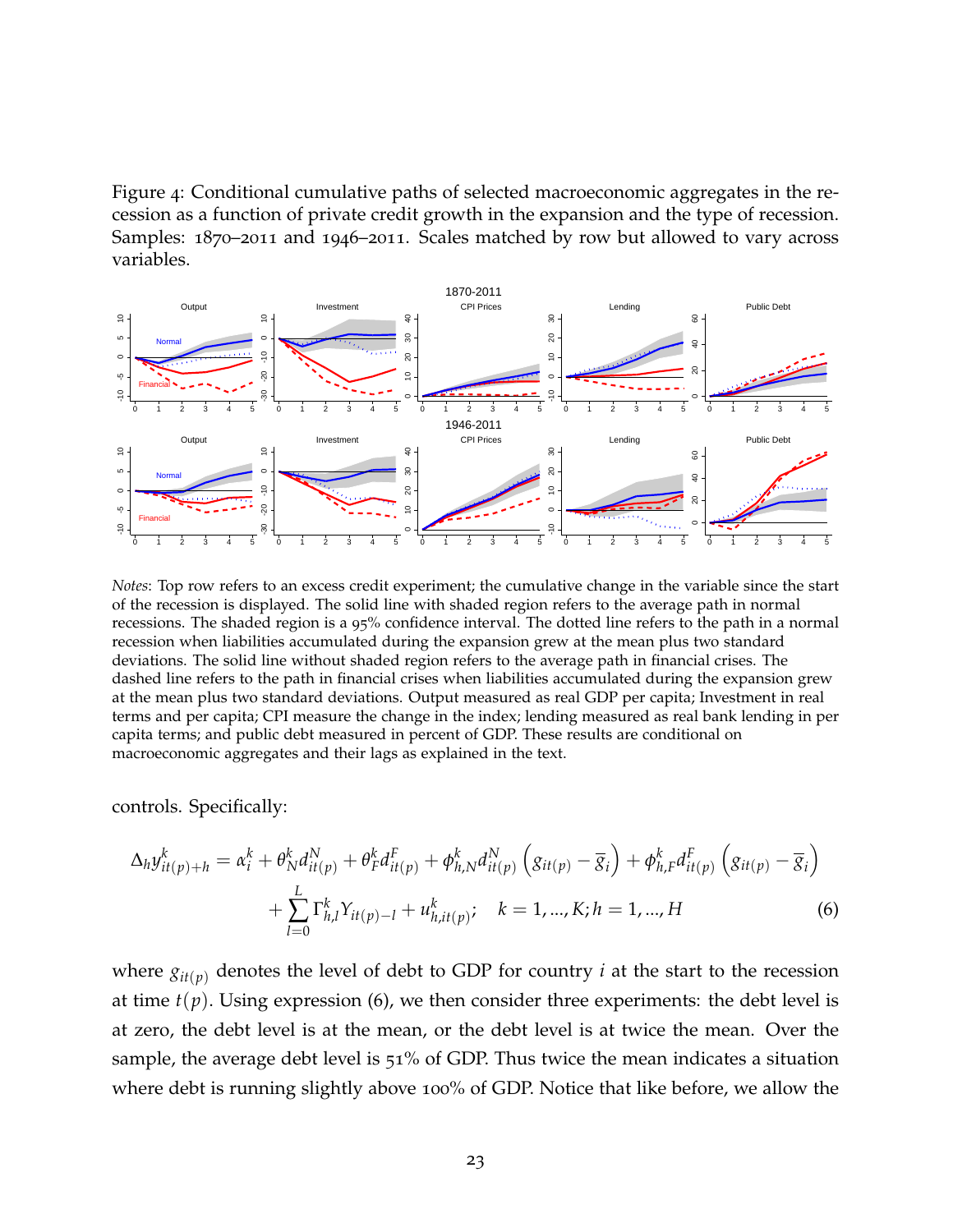Figure 4: Conditional cumulative paths of selected macroeconomic aggregates in the recession as a function of private credit growth in the expansion and the type of recession. Samples: 1870–2011 and 1946–2011. Scales matched by row but allowed to vary across variables.



*Notes*: Top row refers to an excess credit experiment; the cumulative change in the variable since the start of the recession is displayed. The solid line with shaded region refers to the average path in normal recessions. The shaded region is a 95% confidence interval. The dotted line refers to the path in a normal recession when liabilities accumulated during the expansion grew at the mean plus two standard deviations. The solid line without shaded region refers to the average path in financial crises. The dashed line refers to the path in financial crises when liabilities accumulated during the expansion grew at the mean plus two standard deviations. Output measured as real GDP per capita; Investment in real terms and per capita; CPI measure the change in the index; lending measured as real bank lending in per capita terms; and public debt measured in percent of GDP. These results are conditional on macroeconomic aggregates and their lags as explained in the text.

controls. Specifically:

$$
\Delta_{h} y_{it(p)+h}^{k} = \alpha_{i}^{k} + \theta_{N}^{k} d_{it(p)}^{N} + \theta_{F}^{k} d_{it(p)}^{F} + \phi_{h,N}^{k} d_{it(p)}^{N} \left( g_{it(p)} - \overline{g}_{i} \right) + \phi_{h,F}^{k} d_{it(p)}^{F} \left( g_{it(p)} - \overline{g}_{i} \right) + \sum_{l=0}^{L} \Gamma_{h,l}^{k} Y_{it(p)-l} + u_{h,it(p)}^{k}; \quad k = 1, ..., K; h = 1, ..., H
$$
\n(6)

where  $g_{it(p)}$  denotes the level of debt to GDP for country *i* at the start to the recession at time  $t(p)$ . Using expression (6), we then consider three experiments: the debt level is at zero, the debt level is at the mean, or the debt level is at twice the mean. Over the sample, the average debt level is 51% of GDP. Thus twice the mean indicates a situation where debt is running slightly above 100% of GDP. Notice that like before, we allow the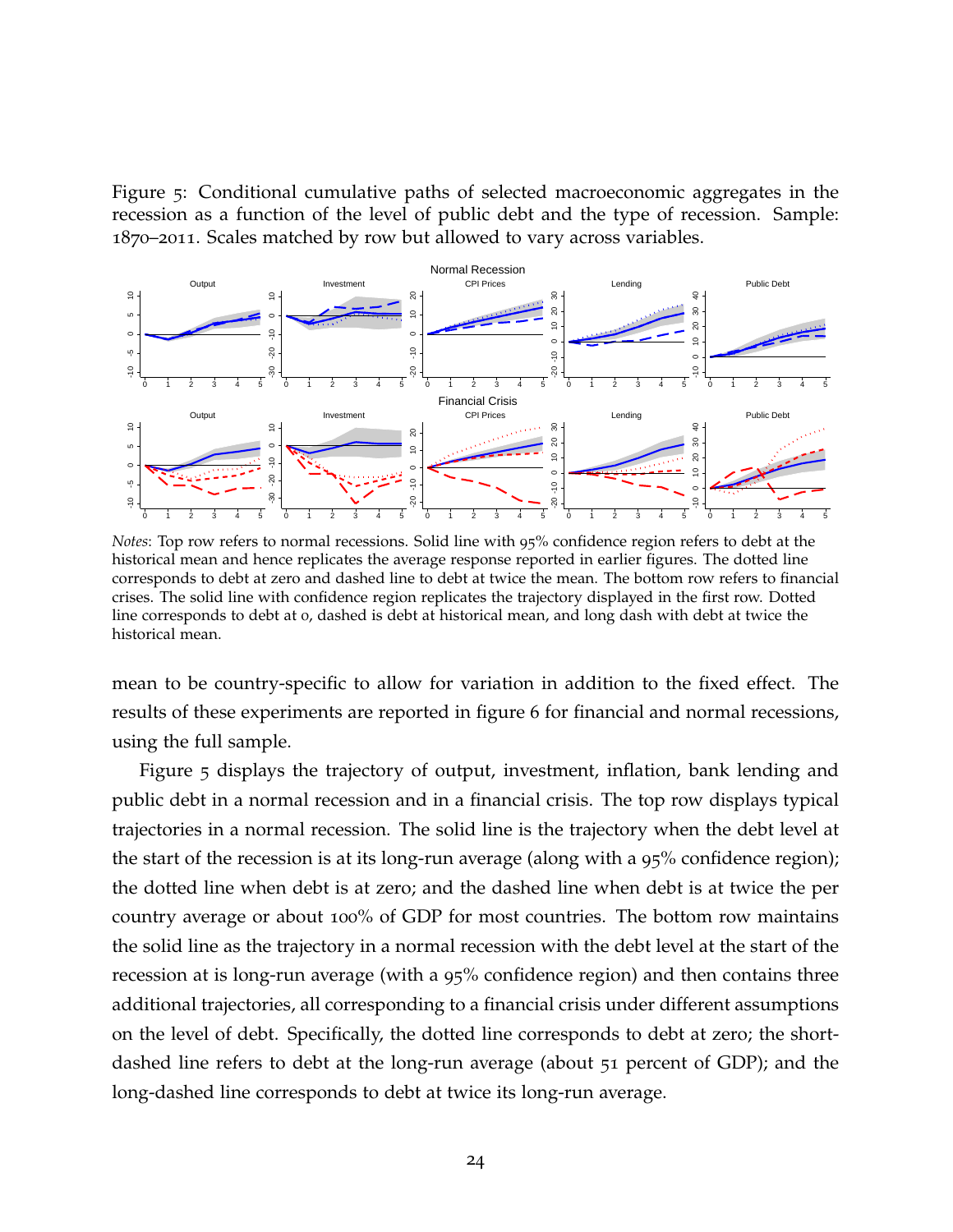Figure 5: Conditional cumulative paths of selected macroeconomic aggregates in the recession as a function of the level of public debt and the type of recession. Sample: 1870–2011. Scales matched by row but allowed to vary across variables.



*Notes*: Top row refers to normal recessions. Solid line with 95% confidence region refers to debt at the historical mean and hence replicates the average response reported in earlier figures. The dotted line corresponds to debt at zero and dashed line to debt at twice the mean. The bottom row refers to financial crises. The solid line with confidence region replicates the trajectory displayed in the first row. Dotted line corresponds to debt at 0, dashed is debt at historical mean, and long dash with debt at twice the historical mean.

mean to be country-specific to allow for variation in addition to the fixed effect. The results of these experiments are reported in figure 6 for financial and normal recessions, using the full sample.

Figure 5 displays the trajectory of output, investment, inflation, bank lending and public debt in a normal recession and in a financial crisis. The top row displays typical trajectories in a normal recession. The solid line is the trajectory when the debt level at the start of the recession is at its long-run average (along with a 95% confidence region); the dotted line when debt is at zero; and the dashed line when debt is at twice the per country average or about 100% of GDP for most countries. The bottom row maintains the solid line as the trajectory in a normal recession with the debt level at the start of the recession at is long-run average (with a 95% confidence region) and then contains three additional trajectories, all corresponding to a financial crisis under different assumptions on the level of debt. Specifically, the dotted line corresponds to debt at zero; the shortdashed line refers to debt at the long-run average (about 51 percent of GDP); and the long-dashed line corresponds to debt at twice its long-run average.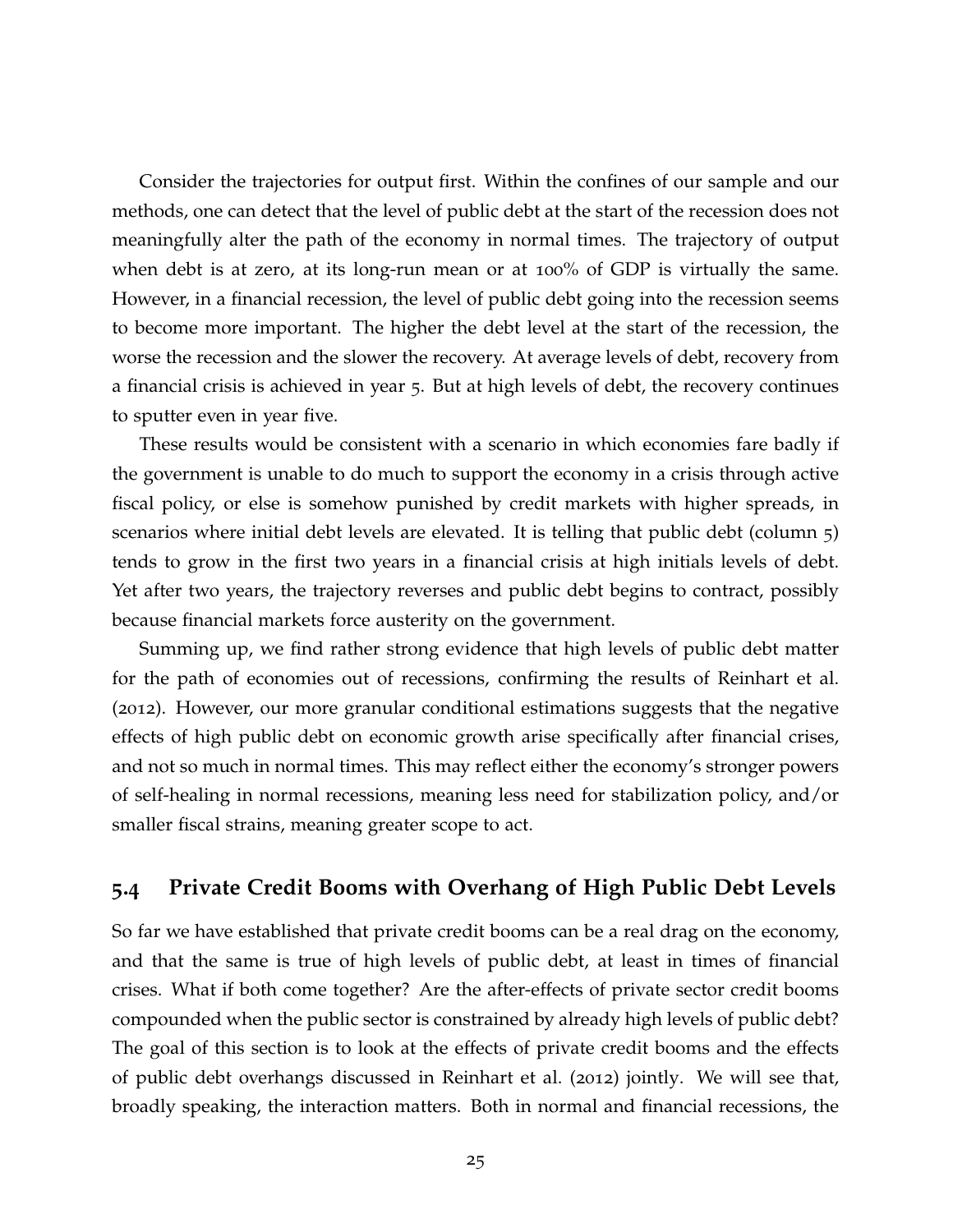Consider the trajectories for output first. Within the confines of our sample and our methods, one can detect that the level of public debt at the start of the recession does not meaningfully alter the path of the economy in normal times. The trajectory of output when debt is at zero, at its long-run mean or at 100% of GDP is virtually the same. However, in a financial recession, the level of public debt going into the recession seems to become more important. The higher the debt level at the start of the recession, the worse the recession and the slower the recovery. At average levels of debt, recovery from a financial crisis is achieved in year 5. But at high levels of debt, the recovery continues to sputter even in year five.

These results would be consistent with a scenario in which economies fare badly if the government is unable to do much to support the economy in a crisis through active fiscal policy, or else is somehow punished by credit markets with higher spreads, in scenarios where initial debt levels are elevated. It is telling that public debt (column 5) tends to grow in the first two years in a financial crisis at high initials levels of debt. Yet after two years, the trajectory reverses and public debt begins to contract, possibly because financial markets force austerity on the government.

Summing up, we find rather strong evidence that high levels of public debt matter for the path of economies out of recessions, confirming the results of Reinhart et al. (2012). However, our more granular conditional estimations suggests that the negative effects of high public debt on economic growth arise specifically after financial crises, and not so much in normal times. This may reflect either the economy's stronger powers of self-healing in normal recessions, meaning less need for stabilization policy, and/or smaller fiscal strains, meaning greater scope to act.

### **5.4 Private Credit Booms with Overhang of High Public Debt Levels**

So far we have established that private credit booms can be a real drag on the economy, and that the same is true of high levels of public debt, at least in times of financial crises. What if both come together? Are the after-effects of private sector credit booms compounded when the public sector is constrained by already high levels of public debt? The goal of this section is to look at the effects of private credit booms and the effects of public debt overhangs discussed in Reinhart et al. (2012) jointly. We will see that, broadly speaking, the interaction matters. Both in normal and financial recessions, the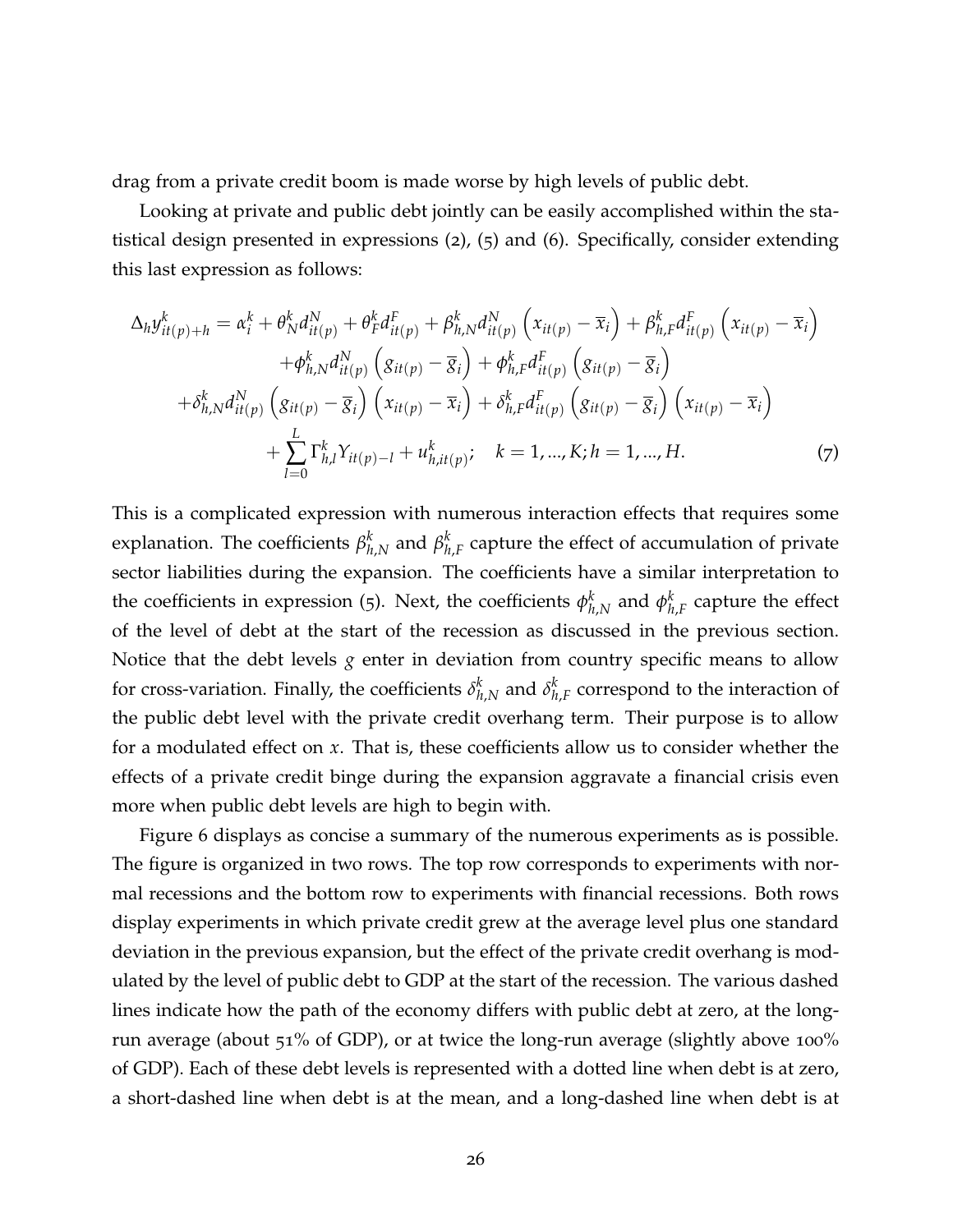drag from a private credit boom is made worse by high levels of public debt.

Looking at private and public debt jointly can be easily accomplished within the statistical design presented in expressions (2), (5) and (6). Specifically, consider extending this last expression as follows:

$$
\Delta_{h} y_{it(p)+h}^{k} = \alpha_{i}^{k} + \theta_{N}^{k} d_{it(p)}^{N} + \theta_{F}^{k} d_{it(p)}^{F} + \beta_{h,N}^{k} d_{it(p)}^{N} \left( x_{it(p)} - \overline{x}_{i} \right) + \beta_{h,F}^{k} d_{it(p)}^{F} \left( x_{it(p)} - \overline{x}_{i} \right) \n+ \phi_{h,N}^{k} d_{it(p)}^{N} \left( g_{it(p)} - \overline{g}_{i} \right) + \phi_{h,F}^{k} d_{it(p)}^{F} \left( g_{it(p)} - \overline{g}_{i} \right) \n+ \delta_{h,N}^{k} d_{it(p)}^{N} \left( g_{it(p)} - \overline{g}_{i} \right) \left( x_{it(p)} - \overline{x}_{i} \right) + \delta_{h,F}^{k} d_{it(p)}^{F} \left( g_{it(p)} - \overline{g}_{i} \right) \left( x_{it(p)} - \overline{x}_{i} \right) \n+ \sum_{l=0}^{L} \Gamma_{h,l}^{k} Y_{it(p)-l} + u_{h,it(p)}^{k}; \quad k = 1, ..., K; h = 1, ..., H.
$$
\n(7)

This is a complicated expression with numerous interaction effects that requires some explanation. The coefficients *β k*  $_{h,N}^k$  and  $\beta_h^k$ *h*,*F* capture the effect of accumulation of private sector liabilities during the expansion. The coefficients have a similar interpretation to the coefficients in expression (5). Next, the coefficients  $\phi_h^k$  $_{h,N}^k$  and  $\phi_h^k$  $_{h,F}^{\kappa}$  capture the effect of the level of debt at the start of the recession as discussed in the previous section. Notice that the debt levels *g* enter in deviation from country specific means to allow for cross-variation. Finally, the coefficients  $\delta^k_{h,N}$  and  $\delta^k_h$  $h_{h,F}^{\kappa}$  correspond to the interaction of the public debt level with the private credit overhang term. Their purpose is to allow for a modulated effect on *x*. That is, these coefficients allow us to consider whether the effects of a private credit binge during the expansion aggravate a financial crisis even more when public debt levels are high to begin with.

Figure 6 displays as concise a summary of the numerous experiments as is possible. The figure is organized in two rows. The top row corresponds to experiments with normal recessions and the bottom row to experiments with financial recessions. Both rows display experiments in which private credit grew at the average level plus one standard deviation in the previous expansion, but the effect of the private credit overhang is modulated by the level of public debt to GDP at the start of the recession. The various dashed lines indicate how the path of the economy differs with public debt at zero, at the longrun average (about 51% of GDP), or at twice the long-run average (slightly above 100% of GDP). Each of these debt levels is represented with a dotted line when debt is at zero, a short-dashed line when debt is at the mean, and a long-dashed line when debt is at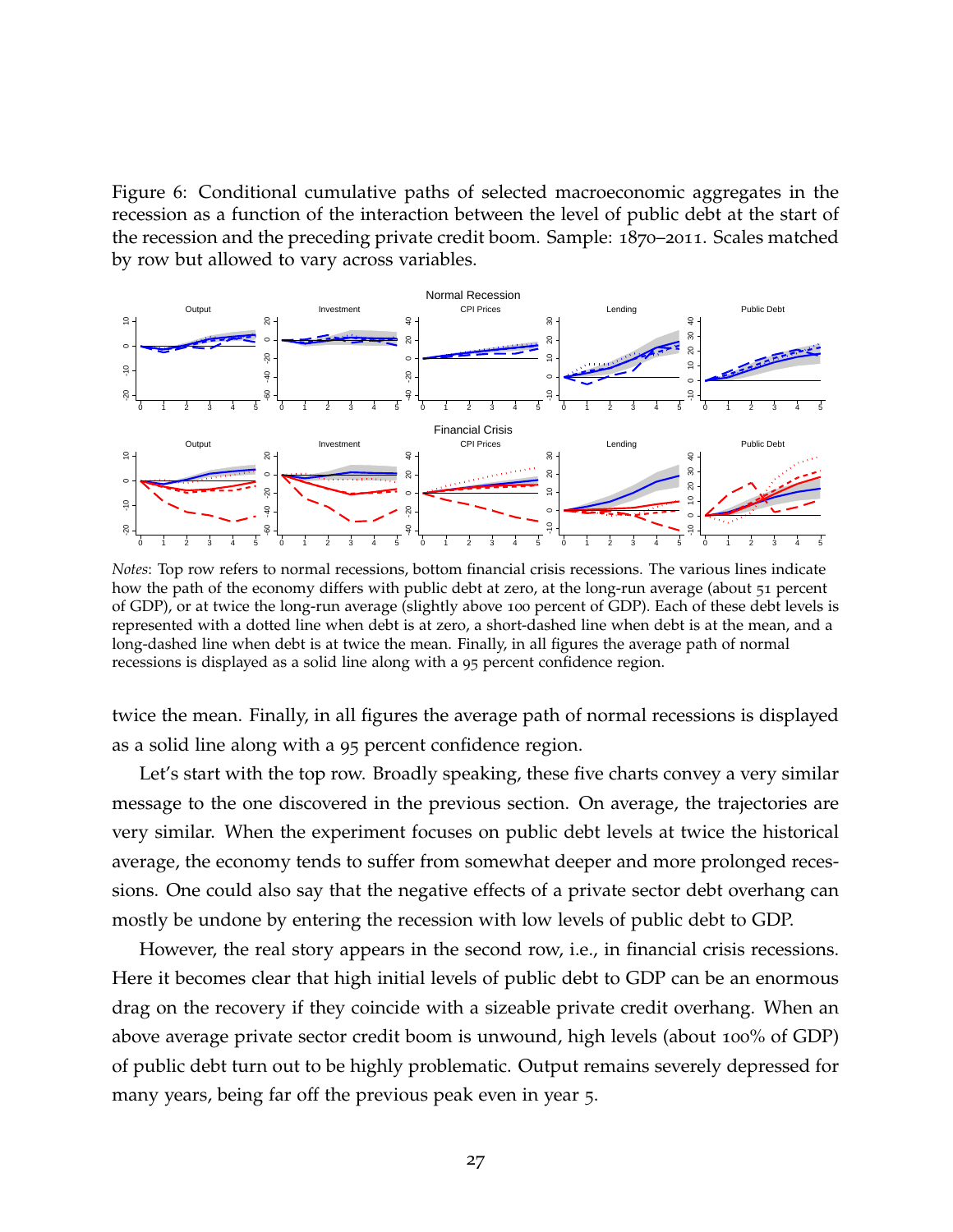Figure 6: Conditional cumulative paths of selected macroeconomic aggregates in the recession as a function of the interaction between the level of public debt at the start of the recession and the preceding private credit boom. Sample: 1870–2011. Scales matched by row but allowed to vary across variables.



*Notes*: Top row refers to normal recessions, bottom financial crisis recessions. The various lines indicate how the path of the economy differs with public debt at zero, at the long-run average (about 51 percent of GDP), or at twice the long-run average (slightly above 100 percent of GDP). Each of these debt levels is represented with a dotted line when debt is at zero, a short-dashed line when debt is at the mean, and a long-dashed line when debt is at twice the mean. Finally, in all figures the average path of normal recessions is displayed as a solid line along with a 95 percent confidence region.

twice the mean. Finally, in all figures the average path of normal recessions is displayed as a solid line along with a 95 percent confidence region.

Let's start with the top row. Broadly speaking, these five charts convey a very similar message to the one discovered in the previous section. On average, the trajectories are very similar. When the experiment focuses on public debt levels at twice the historical average, the economy tends to suffer from somewhat deeper and more prolonged recessions. One could also say that the negative effects of a private sector debt overhang can mostly be undone by entering the recession with low levels of public debt to GDP.

However, the real story appears in the second row, i.e., in financial crisis recessions. Here it becomes clear that high initial levels of public debt to GDP can be an enormous drag on the recovery if they coincide with a sizeable private credit overhang. When an above average private sector credit boom is unwound, high levels (about 100% of GDP) of public debt turn out to be highly problematic. Output remains severely depressed for many years, being far off the previous peak even in year 5.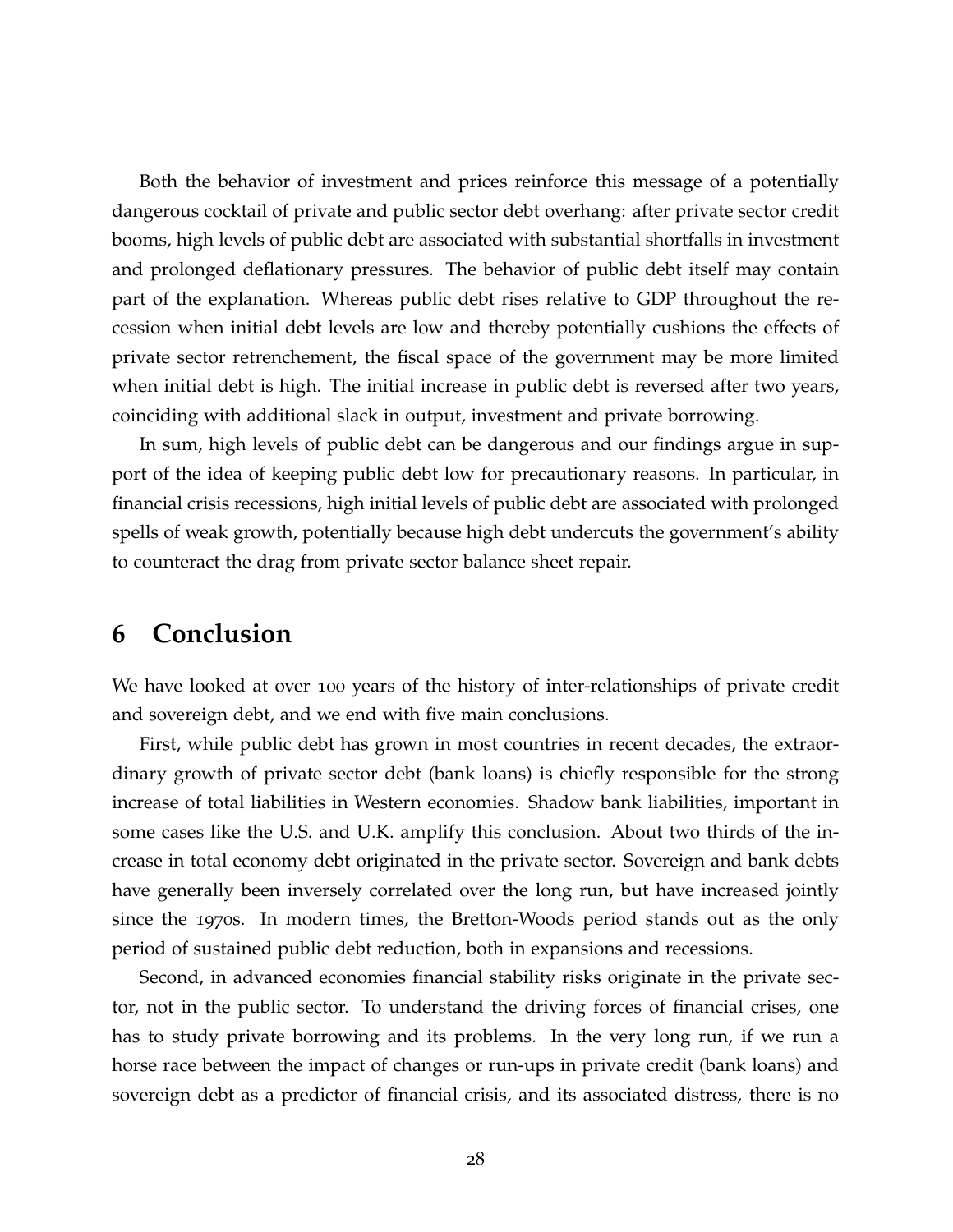Both the behavior of investment and prices reinforce this message of a potentially dangerous cocktail of private and public sector debt overhang: after private sector credit booms, high levels of public debt are associated with substantial shortfalls in investment and prolonged deflationary pressures. The behavior of public debt itself may contain part of the explanation. Whereas public debt rises relative to GDP throughout the recession when initial debt levels are low and thereby potentially cushions the effects of private sector retrenchement, the fiscal space of the government may be more limited when initial debt is high. The initial increase in public debt is reversed after two years, coinciding with additional slack in output, investment and private borrowing.

In sum, high levels of public debt can be dangerous and our findings argue in support of the idea of keeping public debt low for precautionary reasons. In particular, in financial crisis recessions, high initial levels of public debt are associated with prolonged spells of weak growth, potentially because high debt undercuts the government's ability to counteract the drag from private sector balance sheet repair.

## **6 Conclusion**

We have looked at over 100 years of the history of inter-relationships of private credit and sovereign debt, and we end with five main conclusions.

First, while public debt has grown in most countries in recent decades, the extraordinary growth of private sector debt (bank loans) is chiefly responsible for the strong increase of total liabilities in Western economies. Shadow bank liabilities, important in some cases like the U.S. and U.K. amplify this conclusion. About two thirds of the increase in total economy debt originated in the private sector. Sovereign and bank debts have generally been inversely correlated over the long run, but have increased jointly since the 1970s. In modern times, the Bretton-Woods period stands out as the only period of sustained public debt reduction, both in expansions and recessions.

Second, in advanced economies financial stability risks originate in the private sector, not in the public sector. To understand the driving forces of financial crises, one has to study private borrowing and its problems. In the very long run, if we run a horse race between the impact of changes or run-ups in private credit (bank loans) and sovereign debt as a predictor of financial crisis, and its associated distress, there is no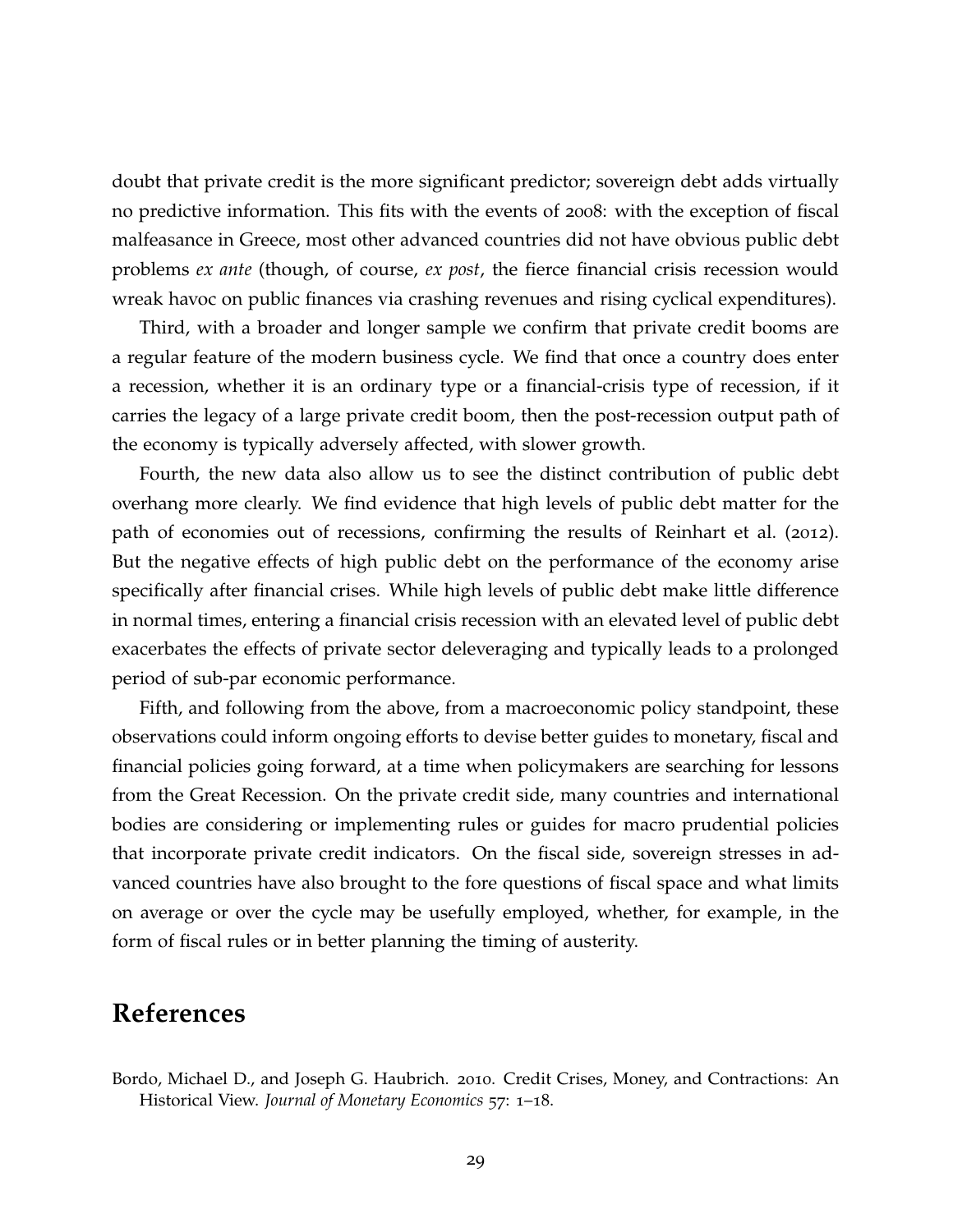doubt that private credit is the more significant predictor; sovereign debt adds virtually no predictive information. This fits with the events of 2008: with the exception of fiscal malfeasance in Greece, most other advanced countries did not have obvious public debt problems *ex ante* (though, of course, *ex post*, the fierce financial crisis recession would wreak havoc on public finances via crashing revenues and rising cyclical expenditures).

Third, with a broader and longer sample we confirm that private credit booms are a regular feature of the modern business cycle. We find that once a country does enter a recession, whether it is an ordinary type or a financial-crisis type of recession, if it carries the legacy of a large private credit boom, then the post-recession output path of the economy is typically adversely affected, with slower growth.

Fourth, the new data also allow us to see the distinct contribution of public debt overhang more clearly. We find evidence that high levels of public debt matter for the path of economies out of recessions, confirming the results of Reinhart et al. (2012). But the negative effects of high public debt on the performance of the economy arise specifically after financial crises. While high levels of public debt make little difference in normal times, entering a financial crisis recession with an elevated level of public debt exacerbates the effects of private sector deleveraging and typically leads to a prolonged period of sub-par economic performance.

Fifth, and following from the above, from a macroeconomic policy standpoint, these observations could inform ongoing efforts to devise better guides to monetary, fiscal and financial policies going forward, at a time when policymakers are searching for lessons from the Great Recession. On the private credit side, many countries and international bodies are considering or implementing rules or guides for macro prudential policies that incorporate private credit indicators. On the fiscal side, sovereign stresses in advanced countries have also brought to the fore questions of fiscal space and what limits on average or over the cycle may be usefully employed, whether, for example, in the form of fiscal rules or in better planning the timing of austerity.

## **References**

Bordo, Michael D., and Joseph G. Haubrich. 2010. Credit Crises, Money, and Contractions: An Historical View. *Journal of Monetary Economics* 57: 1–18.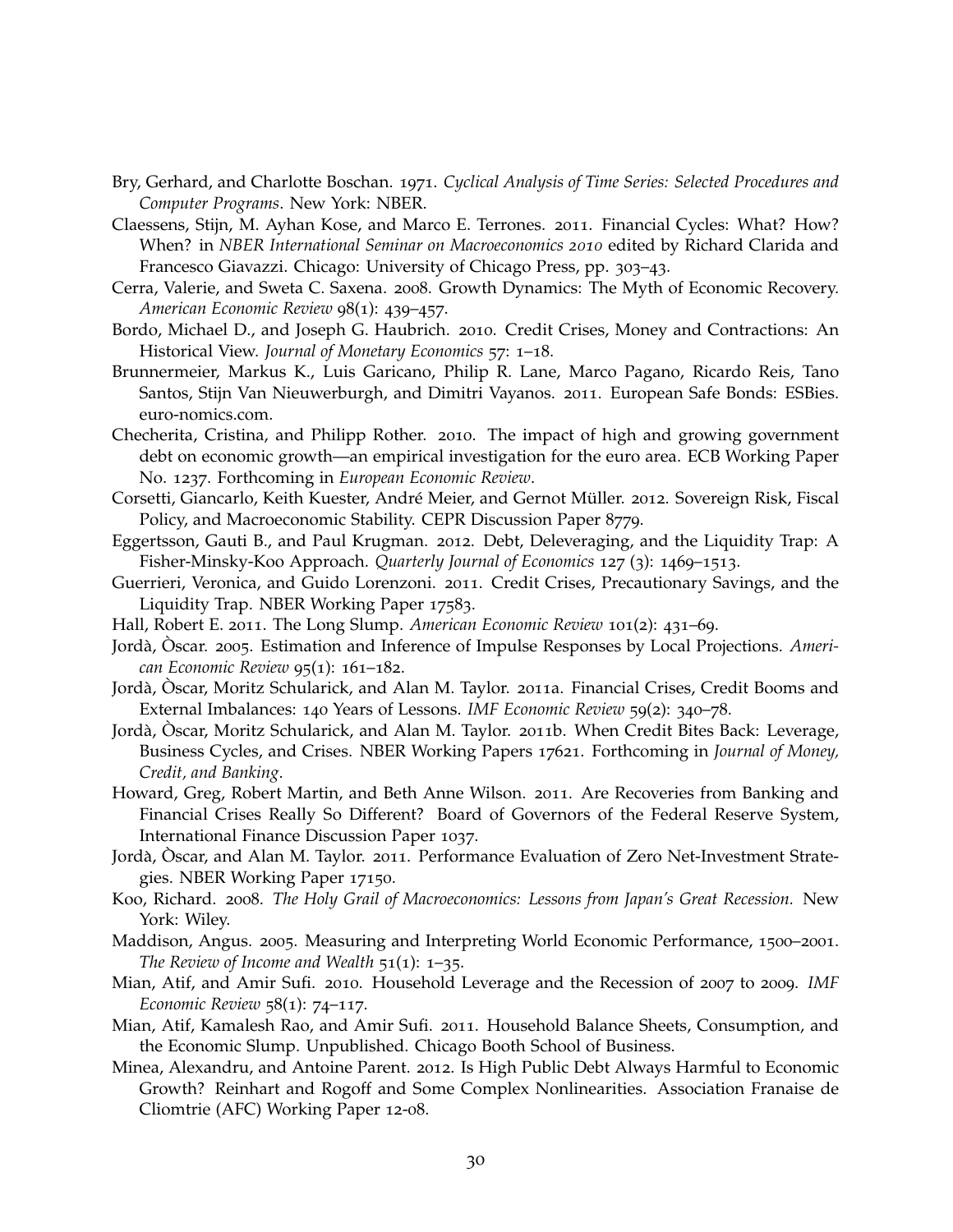- Bry, Gerhard, and Charlotte Boschan. 1971. *Cyclical Analysis of Time Series: Selected Procedures and Computer Programs*. New York: NBER.
- Claessens, Stijn, M. Ayhan Kose, and Marco E. Terrones. 2011. Financial Cycles: What? How? When? in *NBER International Seminar on Macroeconomics 2010* edited by Richard Clarida and Francesco Giavazzi. Chicago: University of Chicago Press, pp. 303–43.
- Cerra, Valerie, and Sweta C. Saxena. 2008. Growth Dynamics: The Myth of Economic Recovery. *American Economic Review* 98(1): 439–457.
- Bordo, Michael D., and Joseph G. Haubrich. 2010. Credit Crises, Money and Contractions: An Historical View. *Journal of Monetary Economics* 57: 1–18.
- Brunnermeier, Markus K., Luis Garicano, Philip R. Lane, Marco Pagano, Ricardo Reis, Tano Santos, Stijn Van Nieuwerburgh, and Dimitri Vayanos. 2011. European Safe Bonds: ESBies. euro-nomics.com.
- Checherita, Cristina, and Philipp Rother. 2010. The impact of high and growing government debt on economic growth—an empirical investigation for the euro area. ECB Working Paper No. 1237. Forthcoming in *European Economic Review*.
- Corsetti, Giancarlo, Keith Kuester, André Meier, and Gernot Müller. 2012. Sovereign Risk, Fiscal Policy, and Macroeconomic Stability. CEPR Discussion Paper 8779.
- Eggertsson, Gauti B., and Paul Krugman. 2012. Debt, Deleveraging, and the Liquidity Trap: A Fisher-Minsky-Koo Approach. *Quarterly Journal of Economics* 127 (3): 1469–1513.
- Guerrieri, Veronica, and Guido Lorenzoni. 2011. Credit Crises, Precautionary Savings, and the Liquidity Trap. NBER Working Paper 17583.
- Hall, Robert E. 2011. The Long Slump. *American Economic Review* 101(2): 431–69.
- Jordà, Oscar. 2005. Estimation and Inference of Impulse Responses by Local Projections. *American Economic Review* 95(1): 161–182.
- Jordà, Òscar, Moritz Schularick, and Alan M. Taylor. 2011a. Financial Crises, Credit Booms and External Imbalances: 140 Years of Lessons. *IMF Economic Review* 59(2): 340–78.
- Jordà, Òscar, Moritz Schularick, and Alan M. Taylor. 2011b. When Credit Bites Back: Leverage, Business Cycles, and Crises. NBER Working Papers 17621. Forthcoming in *Journal of Money, Credit, and Banking*.
- Howard, Greg, Robert Martin, and Beth Anne Wilson. 2011. Are Recoveries from Banking and Financial Crises Really So Different? Board of Governors of the Federal Reserve System, International Finance Discussion Paper 1037.
- Jordà, Oscar, and Alan M. Taylor. 2011. Performance Evaluation of Zero Net-Investment Strategies. NBER Working Paper 17150.
- Koo, Richard. 2008. *The Holy Grail of Macroeconomics: Lessons from Japan's Great Recession.* New York: Wiley.
- Maddison, Angus. 2005. Measuring and Interpreting World Economic Performance, 1500–2001. *The Review of Income and Wealth* 51(1): 1–35.
- Mian, Atif, and Amir Sufi. 2010. Household Leverage and the Recession of 2007 to 2009. *IMF Economic Review* 58(1): 74–117.
- Mian, Atif, Kamalesh Rao, and Amir Sufi. 2011. Household Balance Sheets, Consumption, and the Economic Slump. Unpublished. Chicago Booth School of Business.
- Minea, Alexandru, and Antoine Parent. 2012. Is High Public Debt Always Harmful to Economic Growth? Reinhart and Rogoff and Some Complex Nonlinearities. Association Franaise de Cliomtrie (AFC) Working Paper 12-08.